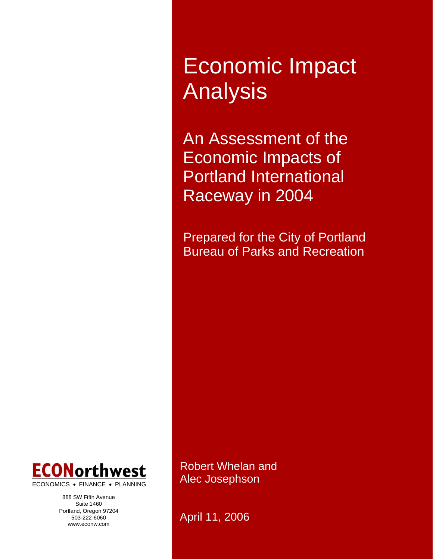Economic Impact Analysis

An Assessment of the Economic Impacts of Portland International Raceway in 2004

Prepared for the City of Portland Bureau of Parks and Recreation



ECONOMICS • FINANCE • PLANNING

888 SW Fifth Avenue Suite 1460 Portland, Oregon 97204 503-222-6060 www.econw.com

Robert Whelan and Alec Josephson

April 11, 2006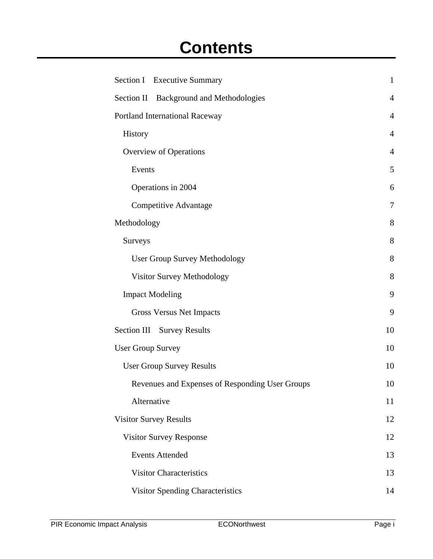# **Contents**

| Section I Executive Summary                       | $\mathbf{1}$   |
|---------------------------------------------------|----------------|
| <b>Background and Methodologies</b><br>Section II | $\overline{4}$ |
| <b>Portland International Raceway</b>             | $\overline{4}$ |
| History                                           | 4              |
| <b>Overview of Operations</b>                     | 4              |
| Events                                            | 5              |
| Operations in 2004                                | 6              |
| Competitive Advantage                             | 7              |
| Methodology                                       | 8              |
| <b>Surveys</b>                                    | 8              |
| <b>User Group Survey Methodology</b>              | 8              |
| Visitor Survey Methodology                        | 8              |
| <b>Impact Modeling</b>                            | 9              |
| <b>Gross Versus Net Impacts</b>                   | 9              |
| Section III Survey Results                        | 10             |
| <b>User Group Survey</b>                          | 10             |
| <b>User Group Survey Results</b>                  | 10             |
| Revenues and Expenses of Responding User Groups   | 10             |
| Alternative                                       | 11             |
| <b>Visitor Survey Results</b>                     | 12             |
| <b>Visitor Survey Response</b>                    | 12             |
| <b>Events Attended</b>                            | 13             |
| <b>Visitor Characteristics</b>                    | 13             |
| <b>Visitor Spending Characteristics</b>           | 14             |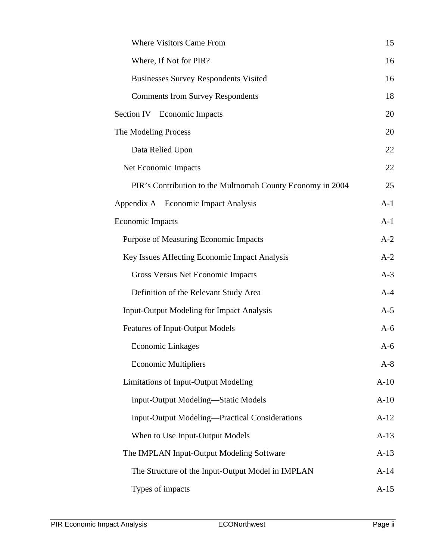| <b>Where Visitors Came From</b>                            | 15     |
|------------------------------------------------------------|--------|
| Where, If Not for PIR?                                     | 16     |
| <b>Businesses Survey Respondents Visited</b>               | 16     |
| <b>Comments from Survey Respondents</b>                    | 18     |
| Section IV Economic Impacts                                | 20     |
| The Modeling Process                                       | 20     |
| Data Relied Upon                                           | 22     |
| Net Economic Impacts                                       | 22     |
| PIR's Contribution to the Multnomah County Economy in 2004 | 25     |
| Appendix A Economic Impact Analysis                        | $A-1$  |
| <b>Economic Impacts</b>                                    | $A-1$  |
| Purpose of Measuring Economic Impacts                      | $A-2$  |
| Key Issues Affecting Economic Impact Analysis              | $A-2$  |
| Gross Versus Net Economic Impacts                          | $A-3$  |
| Definition of the Relevant Study Area                      | $A-4$  |
| <b>Input-Output Modeling for Impact Analysis</b>           | $A-5$  |
| <b>Features of Input-Output Models</b>                     | $A-6$  |
| <b>Economic Linkages</b>                                   | $A-6$  |
| <b>Economic Multipliers</b>                                | $A-8$  |
| <b>Limitations of Input-Output Modeling</b>                | $A-10$ |
| <b>Input-Output Modeling—Static Models</b>                 | $A-10$ |
| <b>Input-Output Modeling—Practical Considerations</b>      | $A-12$ |
| When to Use Input-Output Models                            | $A-13$ |
| The IMPLAN Input-Output Modeling Software                  | $A-13$ |
| The Structure of the Input-Output Model in IMPLAN          | $A-14$ |
| Types of impacts                                           | $A-15$ |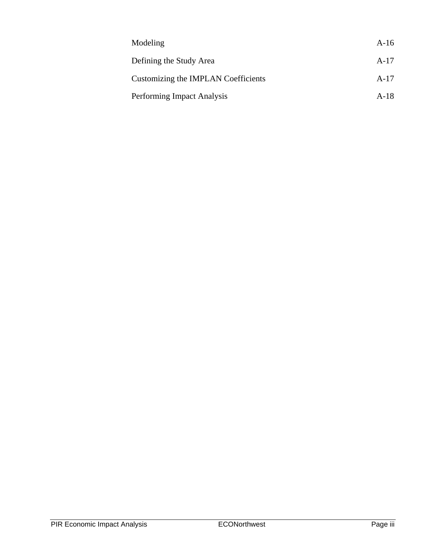| Modeling                            | $A-16$ |
|-------------------------------------|--------|
| Defining the Study Area             | $A-17$ |
| Customizing the IMPLAN Coefficients | $A-17$ |
| Performing Impact Analysis          | $A-18$ |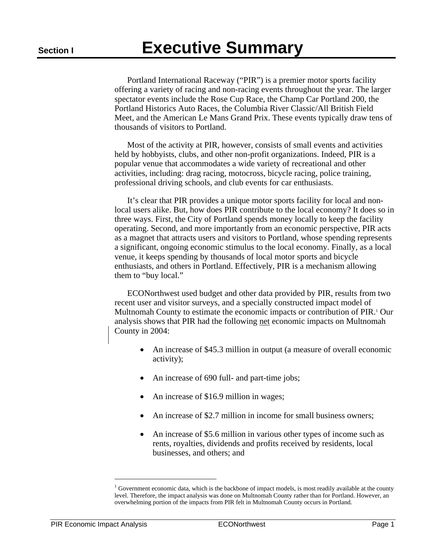Portland International Raceway ("PIR") is a premier motor sports facility offering a variety of racing and non-racing events throughout the year. The larger spectator events include the Rose Cup Race, the Champ Car Portland 200, the Portland Historics Auto Races, the Columbia River Classic/All British Field Meet, and the American Le Mans Grand Prix. These events typically draw tens of thousands of visitors to Portland.

Most of the activity at PIR, however, consists of small events and activities held by hobbyists, clubs, and other non-profit organizations. Indeed, PIR is a popular venue that accommodates a wide variety of recreational and other activities, including: drag racing, motocross, bicycle racing, police training, professional driving schools, and club events for car enthusiasts.

It's clear that PIR provides a unique motor sports facility for local and nonlocal users alike. But, how does PIR contribute to the local economy? It does so in three ways. First, the City of Portland spends money locally to keep the facility operating. Second, and more importantly from an economic perspective, PIR acts as a magnet that attracts users and visitors to Portland, whose spending represents a significant, ongoing economic stimulus to the local economy. Finally, as a local venue, it keeps spending by thousands of local motor sports and bicycle enthusiasts, and others in Portland. Effectively, PIR is a mechanism allowing them to "buy local."

ECONorthwest used budget and other data provided by PIR, results from two recent user and visitor surveys, and a specially constructed impact model of Multnomah County to estimate the economic impacts or contribution of PIR.<sup>1</sup> Our analysis shows that PIR had the following net economic impacts on Multnomah County in 2004:

- An increase of \$45.3 million in output (a measure of overall economic activity);
- An increase of 690 full- and part-time jobs;
- An increase of \$16.9 million in wages;
- An increase of \$2.7 million in income for small business owners;
- An increase of \$5.6 million in various other types of income such as rents, royalties, dividends and profits received by residents, local businesses, and others; and

 $\overline{a}$ 

<sup>&</sup>lt;sup>1</sup> Government economic data, which is the backbone of impact models, is most readily available at the county level. Therefore, the impact analysis was done on Multnomah County rather than for Portland. However, an overwhelming portion of the impacts from PIR felt in Multnomah County occurs in Portland.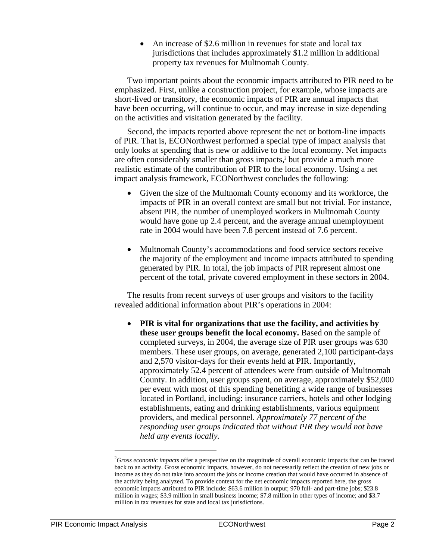• An increase of \$2.6 million in revenues for state and local tax jurisdictions that includes approximately \$1.2 million in additional property tax revenues for Multnomah County.

Two important points about the economic impacts attributed to PIR need to be emphasized. First, unlike a construction project, for example, whose impacts are short-lived or transitory, the economic impacts of PIR are annual impacts that have been occurring, will continue to occur, and may increase in size depending on the activities and visitation generated by the facility.

Second, the impacts reported above represent the net or bottom-line impacts of PIR. That is, ECONorthwest performed a special type of impact analysis that only looks at spending that is new or additive to the local economy. Net impacts are often considerably smaller than gross impacts,<sup>2</sup> but provide a much more realistic estimate of the contribution of PIR to the local economy. Using a net impact analysis framework, ECONorthwest concludes the following:

- Given the size of the Multnomah County economy and its workforce, the impacts of PIR in an overall context are small but not trivial. For instance, absent PIR, the number of unemployed workers in Multnomah County would have gone up 2.4 percent, and the average annual unemployment rate in 2004 would have been 7.8 percent instead of 7.6 percent.
- Multnomah County's accommodations and food service sectors receive the majority of the employment and income impacts attributed to spending generated by PIR. In total, the job impacts of PIR represent almost one percent of the total, private covered employment in these sectors in 2004.

The results from recent surveys of user groups and visitors to the facility revealed additional information about PIR's operations in 2004:

• **PIR is vital for organizations that use the facility, and activities by these user groups benefit the local economy.** Based on the sample of completed surveys, in 2004, the average size of PIR user groups was 630 members. These user groups, on average, generated 2,100 participant-days and 2,570 visitor-days for their events held at PIR. Importantly, approximately 52.4 percent of attendees were from outside of Multnomah County. In addition, user groups spent, on average, approximately \$52,000 per event with most of this spending benefiting a wide range of businesses located in Portland, including: insurance carriers, hotels and other lodging establishments, eating and drinking establishments, various equipment providers, and medical personnel. *Approximately 77 percent of the responding user groups indicated that without PIR they would not have held any events locally.* 

-

<sup>&</sup>lt;sup>2</sup>Gross economic impacts offer a perspective on the magnitude of overall economic impacts that can be traced back to an activity. Gross economic impacts, however, do not necessarily reflect the creation of new jobs or income as they do not take into account the jobs or income creation that would have occurred in absence of the activity being analyzed. To provide context for the net economic impacts reported here, the gross economic impacts attributed to PIR include: \$63.6 million in output; 970 full- and part-time jobs; \$23.8 million in wages; \$3.9 million in small business income; \$7.8 million in other types of income; and \$3.7 million in tax revenues for state and local tax jurisdictions.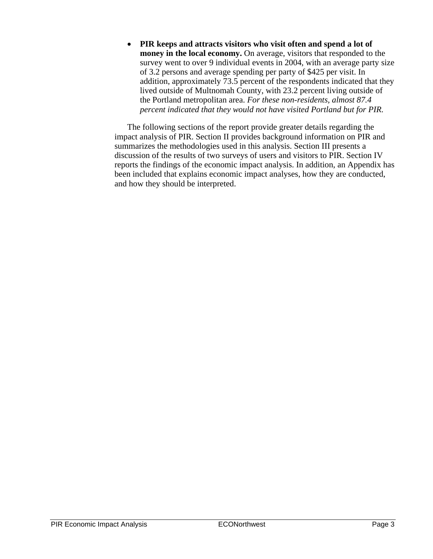• **PIR keeps and attracts visitors who visit often and spend a lot of money in the local economy.** On average, visitors that responded to the survey went to over 9 individual events in 2004, with an average party size of 3.2 persons and average spending per party of \$425 per visit. In addition, approximately 73.5 percent of the respondents indicated that they lived outside of Multnomah County, with 23.2 percent living outside of the Portland metropolitan area. *For these non-residents, almost 87.4 percent indicated that they would not have visited Portland but for PIR.*

The following sections of the report provide greater details regarding the impact analysis of PIR. Section II provides background information on PIR and summarizes the methodologies used in this analysis. Section III presents a discussion of the results of two surveys of users and visitors to PIR. Section IV reports the findings of the economic impact analysis. In addition, an Appendix has been included that explains economic impact analyses, how they are conducted, and how they should be interpreted.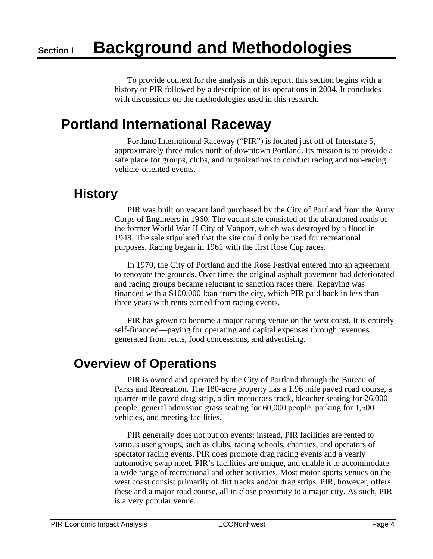To provide context for the analysis in this report, this section begins with a history of PIR followed by a description of its operations in 2004. It concludes with discussions on the methodologies used in this research.

## **Portland International Raceway**

Portland International Raceway ("PIR") is located just off of Interstate 5, approximately three miles north of downtown Portland. Its mission is to provide a safe place for groups, clubs, and organizations to conduct racing and non-racing vehicle-oriented events.

## **History**

PIR was built on vacant land purchased by the City of Portland from the Army Corps of Engineers in 1960. The vacant site consisted of the abandoned roads of the former World War II City of Vanport, which was destroyed by a flood in 1948. The sale stipulated that the site could only be used for recreational purposes. Racing began in 1961 with the first Rose Cup races.

In 1970, the City of Portland and the Rose Festival entered into an agreement to renovate the grounds. Over time, the original asphalt pavement had deteriorated and racing groups became reluctant to sanction races there. Repaving was financed with a \$100,000 loan from the city, which PIR paid back in less than three years with rents earned from racing events.

PIR has grown to become a major racing venue on the west coast. It is entirely self-financed—paying for operating and capital expenses through revenues generated from rents, food concessions, and advertising.

## **Overview of Operations**

PIR is owned and operated by the City of Portland through the Bureau of Parks and Recreation. The 180-acre property has a 1.96 mile paved road course, a quarter-mile paved drag strip, a dirt motocross track, bleacher seating for 26,000 people, general admission grass seating for 60,000 people, parking for 1,500 vehicles, and meeting facilities.

PIR generally does not put on events; instead, PIR facilities are rented to various user groups, such as clubs, racing schools, charities, and operators of spectator racing events. PIR does promote drag racing events and a yearly automotive swap meet. PIR's facilities are unique, and enable it to accommodate a wide range of recreational and other activities. Most motor sports venues on the west coast consist primarily of dirt tracks and/or drag strips. PIR, however, offers these and a major road course, all in close proximity to a major city. As such, PIR is a very popular venue.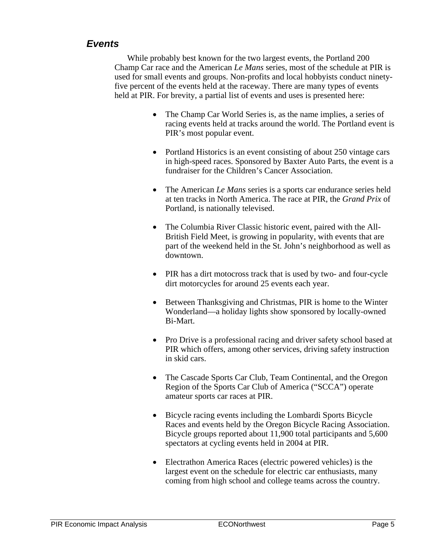## *Events*

While probably best known for the two largest events, the Portland 200 Champ Car race and the American *Le Mans* series, most of the schedule at PIR is used for small events and groups. Non-profits and local hobbyists conduct ninetyfive percent of the events held at the raceway. There are many types of events held at PIR. For brevity, a partial list of events and uses is presented here:

- The Champ Car World Series is, as the name implies, a series of racing events held at tracks around the world. The Portland event is PIR's most popular event.
- Portland Historics is an event consisting of about 250 vintage cars in high-speed races. Sponsored by Baxter Auto Parts, the event is a fundraiser for the Children's Cancer Association.
- The American *Le Mans* series is a sports car endurance series held at ten tracks in North America. The race at PIR, the *Grand Prix* of Portland, is nationally televised.
- The Columbia River Classic historic event, paired with the All-British Field Meet, is growing in popularity, with events that are part of the weekend held in the St. John's neighborhood as well as downtown.
- PIR has a dirt motocross track that is used by two- and four-cycle dirt motorcycles for around 25 events each year.
- Between Thanksgiving and Christmas, PIR is home to the Winter Wonderland—a holiday lights show sponsored by locally-owned Bi-Mart.
- Pro Drive is a professional racing and driver safety school based at PIR which offers, among other services, driving safety instruction in skid cars.
- The Cascade Sports Car Club, Team Continental, and the Oregon Region of the Sports Car Club of America ("SCCA") operate amateur sports car races at PIR.
- Bicycle racing events including the Lombardi Sports Bicycle Races and events held by the Oregon Bicycle Racing Association. Bicycle groups reported about 11,900 total participants and 5,600 spectators at cycling events held in 2004 at PIR.
- Electrathon America Races (electric powered vehicles) is the largest event on the schedule for electric car enthusiasts, many coming from high school and college teams across the country.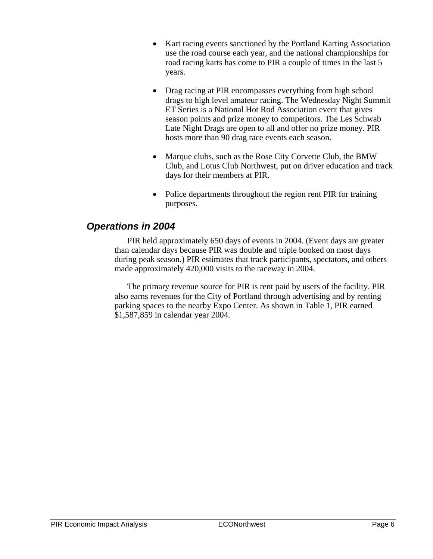- Kart racing events sanctioned by the Portland Karting Association use the road course each year, and the national championships for road racing karts has come to PIR a couple of times in the last 5 years.
- Drag racing at PIR encompasses everything from high school drags to high level amateur racing. The Wednesday Night Summit ET Series is a National Hot Rod Association event that gives season points and prize money to competitors. The Les Schwab Late Night Drags are open to all and offer no prize money. PIR hosts more than 90 drag race events each season.
- Marque clubs, such as the Rose City Corvette Club, the BMW Club, and Lotus Club Northwest, put on driver education and track days for their members at PIR.
- Police departments throughout the region rent PIR for training purposes.

### *Operations in 2004*

PIR held approximately 650 days of events in 2004. (Event days are greater than calendar days because PIR was double and triple booked on most days during peak season.) PIR estimates that track participants, spectators, and others made approximately 420,000 visits to the raceway in 2004.

The primary revenue source for PIR is rent paid by users of the facility. PIR also earns revenues for the City of Portland through advertising and by renting parking spaces to the nearby Expo Center. As shown in Table 1, PIR earned \$1,587,859 in calendar year 2004.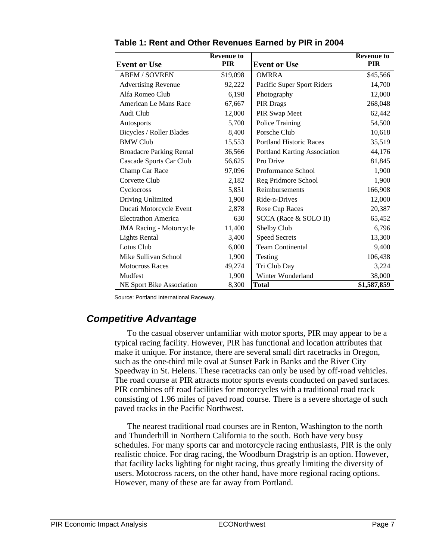|                                 | <b>Revenue to</b><br><b>PIR</b> |                                | <b>Revenue to</b><br><b>PIR</b> |
|---------------------------------|---------------------------------|--------------------------------|---------------------------------|
| <b>Event or Use</b>             |                                 | <b>Event or Use</b>            |                                 |
| <b>ABFM / SOVREN</b>            | \$19,098                        | <b>OMRRA</b>                   | \$45,566                        |
| <b>Advertising Revenue</b>      | 92,222                          | Pacific Super Sport Riders     | 14,700                          |
| Alfa Romeo Club                 | 6,198                           | Photography                    | 12,000                          |
| American Le Mans Race           | 67,667                          | PIR Drags                      | 268,048                         |
| Audi Club                       | 12,000                          | PIR Swap Meet                  | 62,442                          |
| Autosports                      | 5,700                           | Police Training                | 54,500                          |
| Bicycles / Roller Blades        | 8,400                           | Porsche Club                   | 10,618                          |
| <b>BMW Club</b>                 | 15,553                          | <b>Portland Historic Races</b> | 35,519                          |
| <b>Broadacre Parking Rental</b> | 36,566                          | Portland Karting Association   | 44,176                          |
| Cascade Sports Car Club         | 56,625                          | Pro Drive                      | 81,845                          |
| Champ Car Race                  | 97,096                          | Proformance School             | 1,900                           |
| Corvette Club                   | 2,182                           | Reg Pridmore School            | 1,900                           |
| Cyclocross                      | 5,851                           | Reimbursements                 | 166,908                         |
| Driving Unlimited               | 1,900                           | Ride-n-Drives                  | 12,000                          |
| Ducati Motorcycle Event         | 2,878                           | Rose Cup Races                 | 20,387                          |
| <b>Electrathon America</b>      | 630                             | SCCA (Race & SOLO II)          | 65,452                          |
| <b>JMA Racing - Motorcycle</b>  | 11,400                          | Shelby Club                    | 6,796                           |
| <b>Lights Rental</b>            | 3,400                           | <b>Speed Secrets</b>           | 13,300                          |
| Lotus Club                      | 6,000                           | <b>Team Continental</b>        | 9,400                           |
| Mike Sullivan School            | 1,900                           | Testing                        | 106,438                         |
| <b>Motocross Races</b>          | 49,274                          | Tri Club Day                   | 3,224                           |
| Mudfest                         | 1,900                           | Winter Wonderland              | 38,000                          |
| NE Sport Bike Association       | 8,300                           | <b>Total</b>                   | \$1,587,859                     |

**Table 1: Rent and Other Revenues Earned by PIR in 2004** 

Source: Portland International Raceway.

## *Competitive Advantage*

To the casual observer unfamiliar with motor sports, PIR may appear to be a typical racing facility. However, PIR has functional and location attributes that make it unique. For instance, there are several small dirt racetracks in Oregon, such as the one-third mile oval at Sunset Park in Banks and the River City Speedway in St. Helens. These racetracks can only be used by off-road vehicles. The road course at PIR attracts motor sports events conducted on paved surfaces. PIR combines off road facilities for motorcycles with a traditional road track consisting of 1.96 miles of paved road course. There is a severe shortage of such paved tracks in the Pacific Northwest.

The nearest traditional road courses are in Renton, Washington to the north and Thunderhill in Northern California to the south. Both have very busy schedules. For many sports car and motorcycle racing enthusiasts, PIR is the only realistic choice. For drag racing, the Woodburn Dragstrip is an option. However, that facility lacks lighting for night racing, thus greatly limiting the diversity of users. Motocross racers, on the other hand, have more regional racing options. However, many of these are far away from Portland.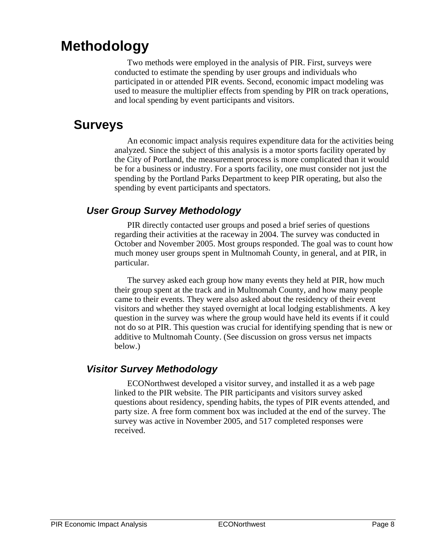## **Methodology**

Two methods were employed in the analysis of PIR. First, surveys were conducted to estimate the spending by user groups and individuals who participated in or attended PIR events. Second, economic impact modeling was used to measure the multiplier effects from spending by PIR on track operations, and local spending by event participants and visitors.

## **Surveys**

An economic impact analysis requires expenditure data for the activities being analyzed. Since the subject of this analysis is a motor sports facility operated by the City of Portland, the measurement process is more complicated than it would be for a business or industry. For a sports facility, one must consider not just the spending by the Portland Parks Department to keep PIR operating, but also the spending by event participants and spectators.

## *User Group Survey Methodology*

PIR directly contacted user groups and posed a brief series of questions regarding their activities at the raceway in 2004. The survey was conducted in October and November 2005. Most groups responded. The goal was to count how much money user groups spent in Multnomah County, in general, and at PIR, in particular.

The survey asked each group how many events they held at PIR, how much their group spent at the track and in Multnomah County, and how many people came to their events. They were also asked about the residency of their event visitors and whether they stayed overnight at local lodging establishments. A key question in the survey was where the group would have held its events if it could not do so at PIR. This question was crucial for identifying spending that is new or additive to Multnomah County. (See discussion on gross versus net impacts below.)

## *Visitor Survey Methodology*

ECONorthwest developed a visitor survey, and installed it as a web page linked to the PIR website. The PIR participants and visitors survey asked questions about residency, spending habits, the types of PIR events attended, and party size. A free form comment box was included at the end of the survey. The survey was active in November 2005, and 517 completed responses were received.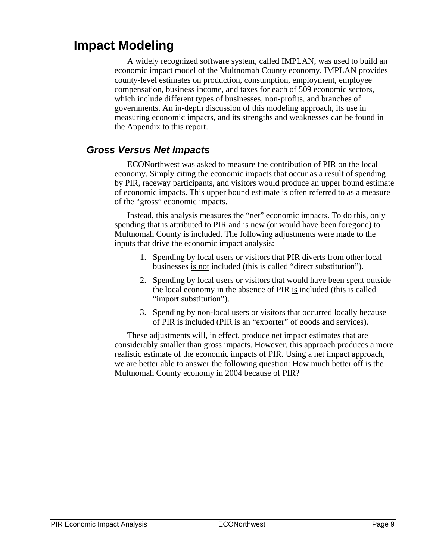## **Impact Modeling**

A widely recognized software system, called IMPLAN, was used to build an economic impact model of the Multnomah County economy. IMPLAN provides county-level estimates on production, consumption, employment, employee compensation, business income, and taxes for each of 509 economic sectors, which include different types of businesses, non-profits, and branches of governments. An in-depth discussion of this modeling approach, its use in measuring economic impacts, and its strengths and weaknesses can be found in the Appendix to this report.

### *Gross Versus Net Impacts*

ECONorthwest was asked to measure the contribution of PIR on the local economy. Simply citing the economic impacts that occur as a result of spending by PIR, raceway participants, and visitors would produce an upper bound estimate of economic impacts. This upper bound estimate is often referred to as a measure of the "gross" economic impacts.

Instead, this analysis measures the "net" economic impacts. To do this, only spending that is attributed to PIR and is new (or would have been foregone) to Multnomah County is included. The following adjustments were made to the inputs that drive the economic impact analysis:

- 1. Spending by local users or visitors that PIR diverts from other local businesses is not included (this is called "direct substitution").
- 2. Spending by local users or visitors that would have been spent outside the local economy in the absence of PIR is included (this is called "import substitution").
- 3. Spending by non-local users or visitors that occurred locally because of PIR is included (PIR is an "exporter" of goods and services).

These adjustments will, in effect, produce net impact estimates that are considerably smaller than gross impacts. However, this approach produces a more realistic estimate of the economic impacts of PIR. Using a net impact approach, we are better able to answer the following question: How much better off is the Multnomah County economy in 2004 because of PIR?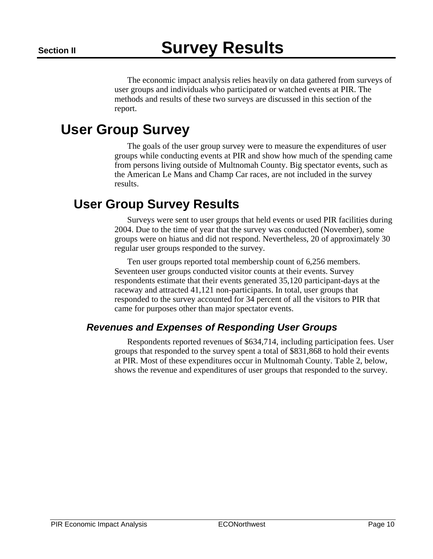The economic impact analysis relies heavily on data gathered from surveys of user groups and individuals who participated or watched events at PIR. The methods and results of these two surveys are discussed in this section of the report.

## **User Group Survey**

The goals of the user group survey were to measure the expenditures of user groups while conducting events at PIR and show how much of the spending came from persons living outside of Multnomah County. Big spectator events, such as the American Le Mans and Champ Car races, are not included in the survey results.

## **User Group Survey Results**

Surveys were sent to user groups that held events or used PIR facilities during 2004. Due to the time of year that the survey was conducted (November), some groups were on hiatus and did not respond. Nevertheless, 20 of approximately 30 regular user groups responded to the survey.

Ten user groups reported total membership count of 6,256 members. Seventeen user groups conducted visitor counts at their events. Survey respondents estimate that their events generated 35,120 participant-days at the raceway and attracted 41,121 non-participants. In total, user groups that responded to the survey accounted for 34 percent of all the visitors to PIR that came for purposes other than major spectator events.

## *Revenues and Expenses of Responding User Groups*

Respondents reported revenues of \$634,714, including participation fees. User groups that responded to the survey spent a total of \$831,868 to hold their events at PIR. Most of these expenditures occur in Multnomah County. Table 2, below, shows the revenue and expenditures of user groups that responded to the survey.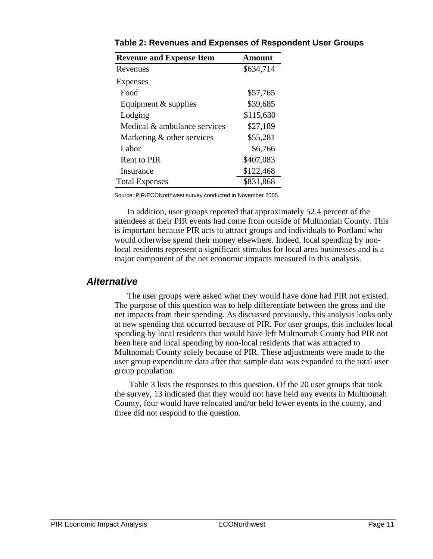| <b>Revenue and Expense Item</b> | Amount    |
|---------------------------------|-----------|
| Revenues                        | \$634,714 |
| Expenses                        |           |
| Food                            | \$57,765  |
| Equipment $&$ supplies          | \$39,685  |
| Lodging                         | \$115,630 |
| Medical & ambulance services    | \$27,189  |
| Marketing & other services      | \$55,281  |
| Labor                           | \$6,766   |
| Rent to PIR                     | \$407,083 |
| Insurance                       | \$122,468 |
| <b>Total Expenses</b>           | \$831,868 |

**Table 2: Revenues and Expenses of Respondent User Groups** 

Source: PIR/ECONorthwest survey conducted in November 2005.

In addition, user groups reported that approximately 52.4 percent of the attendees at their PIR events had come from outside of Multnomah County. This is important because PIR acts to attract groups and individuals to Portland who would otherwise spend their money elsewhere. Indeed, local spending by nonlocal residents represent a significant stimulus for local area businesses and is a major component of the net economic impacts measured in this analysis.

#### *Alternative*

The user groups were asked what they would have done had PIR not existed. The purpose of this question was to help differentiate between the gross and the net impacts from their spending. As discussed previously, this analysis looks only at new spending that occurred because of PIR. For user groups, this includes local spending by local residents that would have left Multnomah County had PIR not been here and local spending by non-local residents that was attracted to Multnomah County solely because of PIR. These adjustments were made to the user group expenditure data after that sample data was expanded to the total user group population.

 Table 3 lists the responses to this question. Of the 20 user groups that took the survey, 13 indicated that they would not have held any events in Multnomah County, four would have relocated and/or held fewer events in the county, and three did not respond to the question.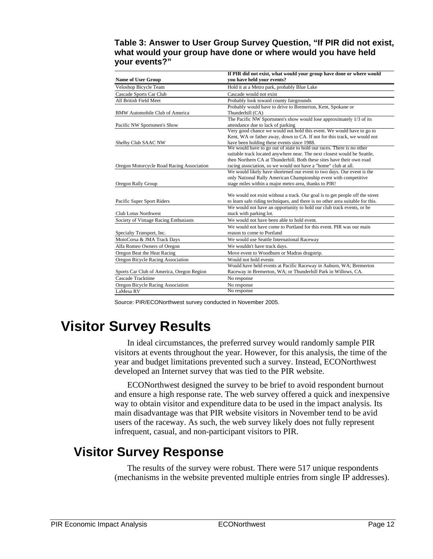#### **Table 3: Answer to User Group Survey Question, "If PIR did not exist, what would your group have done or where would you have held your events?"**

|                                           | If PIR did not exist, what would your group have done or where would                                                |  |
|-------------------------------------------|---------------------------------------------------------------------------------------------------------------------|--|
| <b>Name of User Group</b>                 | you have held your events?                                                                                          |  |
| Veloshop Bicycle Team                     | Hold it at a Metro park, probably Blue Lake                                                                         |  |
| Cascade Sports Car Club                   | Cascade would not exist                                                                                             |  |
| All British Field Meet                    | Probably look toward county fairgrounds                                                                             |  |
|                                           | Probably would have to drive to Bremerton, Kent, Spokane or                                                         |  |
| <b>BMW</b> Automobile Club of America     | Thunderhill (CA)                                                                                                    |  |
|                                           | The Pacific NW Sportsmen's show would lose approximately 1/3 of its                                                 |  |
| Pacific NW Sportsmen's Show               | attendance due to lack of parking                                                                                   |  |
|                                           | Very good chance we would not hold this event. We would have to go to                                               |  |
|                                           | Kent, WA or father away, down to CA. If not for this track, we would not                                            |  |
| Shelby Club SAAC NW                       | have been holding these events since 1988.<br>We would have to go out of state to hold our races. There is no other |  |
|                                           | suitable track located anywhere near. The next closest would be Seattle,                                            |  |
|                                           | then Northern CA at Thunderhill. Both these sites have their own road                                               |  |
| Oregon Motorcycle Road Racing Association | racing association, so we would not have a "home" club at all.                                                      |  |
|                                           | We would likely have shortened our event to two days. Our event is the                                              |  |
|                                           | only National Rally American Championship event with competitive                                                    |  |
| Oregon Rally Group                        | stage miles within a major metro area, thanks to PIR!                                                               |  |
|                                           |                                                                                                                     |  |
|                                           | We would not exist without a track. Our goal is to get people off the street                                        |  |
| Pacific Super Sport Riders                | to learn safe riding techniques, and there is no other area suitable for this.                                      |  |
|                                           | We would not have an opportunity to hold our club track events, or be                                               |  |
| Club Lotus Northwest                      | stuck with parking lot.                                                                                             |  |
| Society of Vintage Racing Enthusiasts     | We would not have been able to hold event.                                                                          |  |
|                                           | We would not have come to Portland for this event. PIR was our main                                                 |  |
| Specialty Transport, Inc.                 | reason to come to Portland                                                                                          |  |
| MotoCorsa & JMA Track Days                | We would use Seattle International Raceway                                                                          |  |
| Alfa Romeo Owners of Oregon               | We wouldn't have track days.                                                                                        |  |
| Oregon Beat the Heat Racing               | Move event to Woodburn or Madras dragstrip.                                                                         |  |
| Oregon Bicycle Racing Association         | Would not hold events                                                                                               |  |
|                                           | Would have held events at Pacific Raceway in Auburn, WA; Bremerton                                                  |  |
| Sports Car Club of America, Oregon Region | Raceway in Bremerton, WA; or Thunderhill Park in Willows, CA.                                                       |  |
| Cascade Tracktime                         | No response                                                                                                         |  |
| Oregon Bicycle Racing Association         | No response                                                                                                         |  |
| LaMesa RV                                 | No response                                                                                                         |  |

Source: PIR/ECONorthwest survey conducted in November 2005.

# **Visitor Survey Results**

In ideal circumstances, the preferred survey would randomly sample PIR visitors at events throughout the year. However, for this analysis, the time of the year and budget limitations prevented such a survey. Instead, ECONorthwest developed an Internet survey that was tied to the PIR website.

ECONorthwest designed the survey to be brief to avoid respondent burnout and ensure a high response rate. The web survey offered a quick and inexpensive way to obtain visitor and expenditure data to be used in the impact analysis. Its main disadvantage was that PIR website visitors in November tend to be avid users of the raceway. As such, the web survey likely does not fully represent infrequent, casual, and non-participant visitors to PIR.

## **Visitor Survey Response**

The results of the survey were robust. There were 517 unique respondents (mechanisms in the website prevented multiple entries from single IP addresses).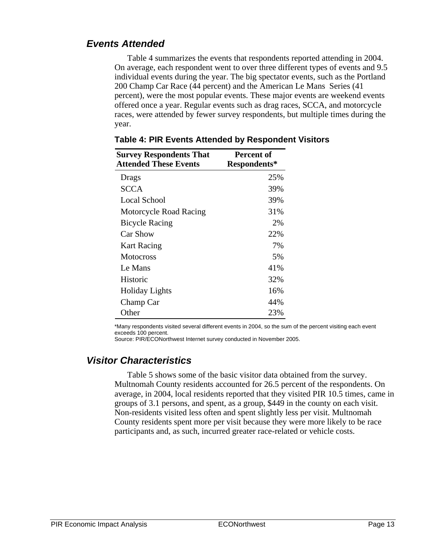## *Events Attended*

Table 4 summarizes the events that respondents reported attending in 2004. On average, each respondent went to over three different types of events and 9.5 individual events during the year. The big spectator events, such as the Portland 200 Champ Car Race (44 percent) and the American Le Mans Series (41 percent), were the most popular events. These major events are weekend events offered once a year. Regular events such as drag races, SCCA, and motorcycle races, were attended by fewer survey respondents, but multiple times during the year.

| <b>Survey Respondents That</b> | Percent of   |
|--------------------------------|--------------|
| <b>Attended These Events</b>   | Respondents* |
| Drags                          | 25%          |
| <b>SCCA</b>                    | 39%          |
| Local School                   | 39%          |
| Motorcycle Road Racing         | 31%          |
| <b>Bicycle Racing</b>          | 2%           |
| <b>Car Show</b>                | 22%          |
| <b>Kart Racing</b>             | 7%           |
| <b>Motocross</b>               | 5%           |
| Le Mans                        | 41%          |
| Historic                       | 32%          |
| <b>Holiday Lights</b>          | 16%          |
| Champ Car                      | 44%          |
| Other                          | 23%          |

**Table 4: PIR Events Attended by Respondent Visitors** 

\*Many respondents visited several different events in 2004, so the sum of the percent visiting each event exceeds 100 percent.

#### Source: PIR/ECONorthwest Internet survey conducted in November 2005.

### *Visitor Characteristics*

Table 5 shows some of the basic visitor data obtained from the survey. Multnomah County residents accounted for 26.5 percent of the respondents. On average, in 2004, local residents reported that they visited PIR 10.5 times, came in groups of 3.1 persons, and spent, as a group, \$449 in the county on each visit. Non-residents visited less often and spent slightly less per visit. Multnomah County residents spent more per visit because they were more likely to be race participants and, as such, incurred greater race-related or vehicle costs.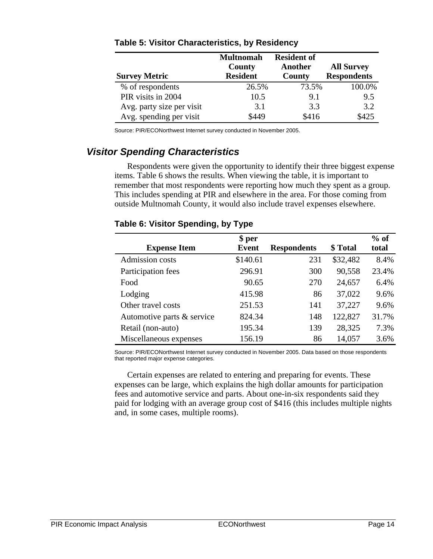| <b>Survey Metric</b>      | <b>Multnomah</b><br>County<br><b>Resident</b> | <b>Resident of</b><br>Another<br>County | <b>All Survey</b><br><b>Respondents</b> |
|---------------------------|-----------------------------------------------|-----------------------------------------|-----------------------------------------|
| % of respondents          | 26.5%                                         | 73.5%                                   | 100.0%                                  |
| PIR visits in 2004        | 10.5                                          | 9.1                                     | 9.5                                     |
| Avg. party size per visit | 3.1                                           | 3.3                                     | 3.2                                     |
| Avg. spending per visit   | \$449                                         | \$416                                   | \$425                                   |

#### **Table 5: Visitor Characteristics, by Residency**

Source: PIR/ECONorthwest Internet survey conducted in November 2005.

## *Visitor Spending Characteristics*

Respondents were given the opportunity to identify their three biggest expense items. Table 6 shows the results. When viewing the table, it is important to remember that most respondents were reporting how much they spent as a group. This includes spending at PIR and elsewhere in the area. For those coming from outside Multnomah County, it would also include travel expenses elsewhere.

#### **Table 6: Visitor Spending, by Type**

|                            | \$ per   |                    |          | $%$ of |
|----------------------------|----------|--------------------|----------|--------|
| <b>Expense Item</b>        | Event    | <b>Respondents</b> | \$ Total | total  |
| Admission costs            | \$140.61 | 231                | \$32,482 | 8.4%   |
| Participation fees         | 296.91   | 300                | 90,558   | 23.4%  |
| Food                       | 90.65    | 270                | 24,657   | 6.4%   |
| Lodging                    | 415.98   | 86                 | 37,022   | 9.6%   |
| Other travel costs         | 251.53   | 141                | 37,227   | 9.6%   |
| Automotive parts & service | 824.34   | 148                | 122,827  | 31.7%  |
| Retail (non-auto)          | 195.34   | 139                | 28,325   | 7.3%   |
| Miscellaneous expenses     | 156.19   | 86                 | 14,057   | 3.6%   |

Source: PIR/ECONorthwest Internet survey conducted in November 2005. Data based on those respondents that reported major expense categories.

Certain expenses are related to entering and preparing for events. These expenses can be large, which explains the high dollar amounts for participation fees and automotive service and parts. About one-in-six respondents said they paid for lodging with an average group cost of \$416 (this includes multiple nights and, in some cases, multiple rooms).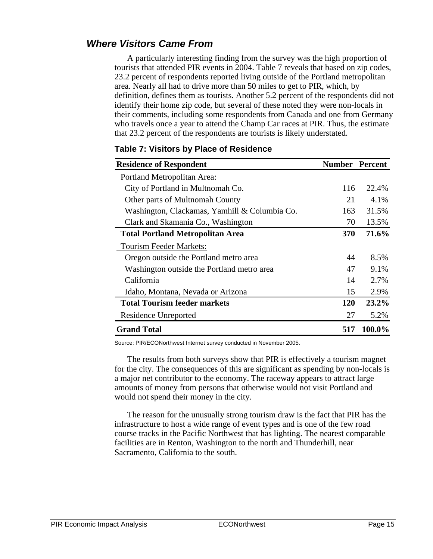## *Where Visitors Came From*

A particularly interesting finding from the survey was the high proportion of tourists that attended PIR events in 2004. Table 7 reveals that based on zip codes, 23.2 percent of respondents reported living outside of the Portland metropolitan area. Nearly all had to drive more than 50 miles to get to PIR, which, by definition, defines them as tourists. Another 5.2 percent of the respondents did not identify their home zip code, but several of these noted they were non-locals in their comments, including some respondents from Canada and one from Germany who travels once a year to attend the Champ Car races at PIR. Thus, the estimate that 23.2 percent of the respondents are tourists is likely understated.

| <b>Residence of Respondent</b>                | <b>Number Percent</b> |         |
|-----------------------------------------------|-----------------------|---------|
| Portland Metropolitan Area:                   |                       |         |
| City of Portland in Multnomah Co.             | 116                   | 22.4%   |
| Other parts of Multnomah County               | 21                    | 4.1%    |
| Washington, Clackamas, Yamhill & Columbia Co. | 163                   | 31.5%   |
| Clark and Skamania Co., Washington            | 70                    | 13.5%   |
| <b>Total Portland Metropolitan Area</b>       | <b>370</b>            | 71.6%   |
| <b>Tourism Feeder Markets:</b>                |                       |         |
| Oregon outside the Portland metro area        | 44                    | 8.5%    |
| Washington outside the Portland metro area    | 47                    | $9.1\%$ |
| California                                    | 14                    | 2.7%    |
| Idaho, Montana, Nevada or Arizona             | 15                    | 2.9%    |
| <b>Total Tourism feeder markets</b>           | <b>120</b>            | 23.2%   |
| Residence Unreported                          | 27                    | 5.2%    |
| <b>Grand Total</b>                            | 517                   | 100.0%  |

#### **Table 7: Visitors by Place of Residence**

Source: PIR/ECONorthwest Internet survey conducted in November 2005.

The results from both surveys show that PIR is effectively a tourism magnet for the city. The consequences of this are significant as spending by non-locals is a major net contributor to the economy. The raceway appears to attract large amounts of money from persons that otherwise would not visit Portland and would not spend their money in the city.

The reason for the unusually strong tourism draw is the fact that PIR has the infrastructure to host a wide range of event types and is one of the few road course tracks in the Pacific Northwest that has lighting. The nearest comparable facilities are in Renton, Washington to the north and Thunderhill, near Sacramento, California to the south.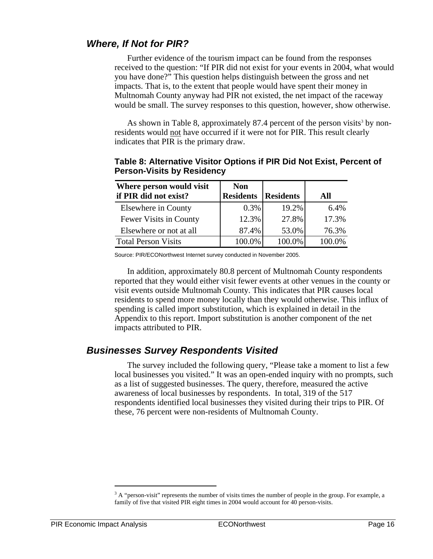## *Where, If Not for PIR?*

Further evidence of the tourism impact can be found from the responses received to the question: "If PIR did not exist for your events in 2004, what would you have done?" This question helps distinguish between the gross and net impacts. That is, to the extent that people would have spent their money in Multnomah County anyway had PIR not existed, the net impact of the raceway would be small. The survey responses to this question, however, show otherwise.

As shown in Table 8, approximately 87.4 percent of the person visits<sup>3</sup> by nonresidents would not have occurred if it were not for PIR. This result clearly indicates that PIR is the primary draw.

| Where person would visit<br>if PIR did not exist? | <b>Non</b><br><b>Residents</b> | <b>Residents</b> | All    |
|---------------------------------------------------|--------------------------------|------------------|--------|
| Elsewhere in County                               | $0.3\%$                        | 19.2%            | 6.4%   |
| Fewer Visits in County                            | 12.3%                          | 27.8%            | 17.3%  |
| Elsewhere or not at all                           | 87.4%                          | 53.0%            | 76.3%  |
| <b>Total Person Visits</b>                        | 100.0%                         | 100.0%           | 100.0% |

**Table 8: Alternative Visitor Options if PIR Did Not Exist, Percent of Person-Visits by Residency** 

Source: PIR/ECONorthwest Internet survey conducted in November 2005.

In addition, approximately 80.8 percent of Multnomah County respondents reported that they would either visit fewer events at other venues in the county or visit events outside Multnomah County. This indicates that PIR causes local residents to spend more money locally than they would otherwise. This influx of spending is called import substitution, which is explained in detail in the Appendix to this report. Import substitution is another component of the net impacts attributed to PIR.

### *Businesses Survey Respondents Visited*

The survey included the following query, "Please take a moment to list a few local businesses you visited." It was an open-ended inquiry with no prompts, such as a list of suggested businesses. The query, therefore, measured the active awareness of local businesses by respondents. In total, 319 of the 517 respondents identified local businesses they visited during their trips to PIR. Of these, 76 percent were non-residents of Multnomah County.

1

 $3A$  "person-visit" represents the number of visits times the number of people in the group. For example, a family of five that visited PIR eight times in 2004 would account for 40 person-visits.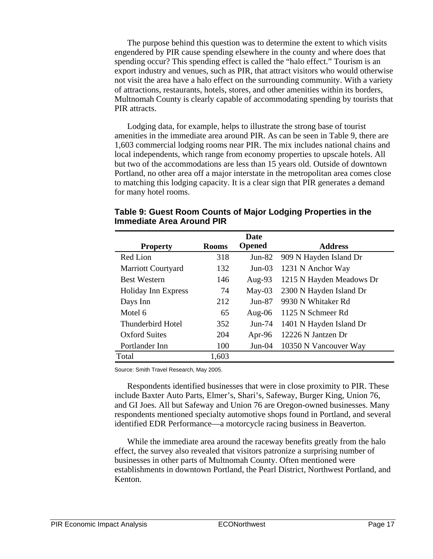The purpose behind this question was to determine the extent to which visits engendered by PIR cause spending elsewhere in the county and where does that spending occur? This spending effect is called the "halo effect." Tourism is an export industry and venues, such as PIR, that attract visitors who would otherwise not visit the area have a halo effect on the surrounding community. With a variety of attractions, restaurants, hotels, stores, and other amenities within its borders, Multnomah County is clearly capable of accommodating spending by tourists that PIR attracts.

Lodging data, for example, helps to illustrate the strong base of tourist amenities in the immediate area around PIR. As can be seen in Table 9, there are 1,603 commercial lodging rooms near PIR. The mix includes national chains and local independents, which range from economy properties to upscale hotels. All but two of the accommodations are less than 15 years old. Outside of downtown Portland, no other area off a major interstate in the metropolitan area comes close to matching this lodging capacity. It is a clear sign that PIR generates a demand for many hotel rooms.

|                           |              | <b>Date</b>   |                          |
|---------------------------|--------------|---------------|--------------------------|
| <b>Property</b>           | <b>Rooms</b> | <b>Opened</b> | <b>Address</b>           |
| Red Lion                  | 318          | $Jun-82$      | 909 N Hayden Island Dr   |
| <b>Marriott Courtyard</b> | 132          | $Jun-03$      | 1231 N Anchor Way        |
| <b>Best Western</b>       | 146          | Aug-93        | 1215 N Hayden Meadows Dr |
| Holiday Inn Express       | 74           | $May-03$      | 2300 N Hayden Island Dr  |
| Days Inn                  | 212          | $Jun-87$      | 9930 N Whitaker Rd       |
| Motel 6                   | 65           | Aug- $06$     | 1125 N Schmeer Rd        |
| Thunderbird Hotel         | 352          | $Jun-74$      | 1401 N Hayden Island Dr  |
| <b>Oxford Suites</b>      | 204          | Apr-96        | 12226 N Jantzen Dr       |
| Portlander Inn            | 100          | $Jun-04$      | 10350 N Vancouver Way    |
| Total                     | 1,603        |               |                          |

**Table 9: Guest Room Counts of Major Lodging Properties in the Immediate Area Around PIR** 

Source: Smith Travel Research, May 2005.

Respondents identified businesses that were in close proximity to PIR. These include Baxter Auto Parts, Elmer's, Shari's, Safeway, Burger King, Union 76, and GI Joes. All but Safeway and Union 76 are Oregon-owned businesses. Many respondents mentioned specialty automotive shops found in Portland, and several identified EDR Performance—a motorcycle racing business in Beaverton.

While the immediate area around the raceway benefits greatly from the halo effect, the survey also revealed that visitors patronize a surprising number of businesses in other parts of Multnomah County. Often mentioned were establishments in downtown Portland, the Pearl District, Northwest Portland, and Kenton.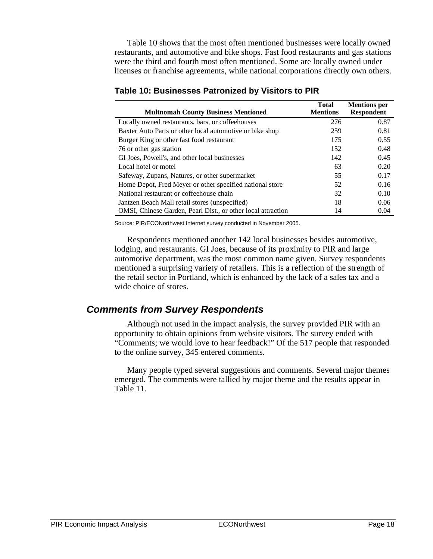Table 10 shows that the most often mentioned businesses were locally owned restaurants, and automotive and bike shops. Fast food restaurants and gas stations were the third and fourth most often mentioned. Some are locally owned under licenses or franchise agreements, while national corporations directly own others.

|                                                              | <b>Total</b>    | <b>Mentions per</b> |
|--------------------------------------------------------------|-----------------|---------------------|
| <b>Multnomah County Business Mentioned</b>                   | <b>Mentions</b> | <b>Respondent</b>   |
| Locally owned restaurants, bars, or coffeehouses             | 276             | 0.87                |
| Baxter Auto Parts or other local automotive or bike shop     | 259             | 0.81                |
| Burger King or other fast food restaurant                    | 175             | 0.55                |
| 76 or other gas station                                      | 152             | 0.48                |
| GI Joes, Powell's, and other local businesses                | 142             | 0.45                |
| Local hotel or motel                                         | 63              | 0.20                |
| Safeway, Zupans, Natures, or other supermarket               | 55              | 0.17                |
| Home Depot, Fred Meyer or other specified national store     | 52              | 0.16                |
| National restaurant or coffeehouse chain                     | 32              | 0.10                |
| Jantzen Beach Mall retail stores (unspecified)               | 18              | 0.06                |
| OMSI, Chinese Garden, Pearl Dist., or other local attraction | 14              | 0.04                |

#### **Table 10: Businesses Patronized by Visitors to PIR**

Source: PIR/ECONorthwest Internet survey conducted in November 2005.

Respondents mentioned another 142 local businesses besides automotive, lodging, and restaurants. GI Joes, because of its proximity to PIR and large automotive department, was the most common name given. Survey respondents mentioned a surprising variety of retailers. This is a reflection of the strength of the retail sector in Portland, which is enhanced by the lack of a sales tax and a wide choice of stores.

### *Comments from Survey Respondents*

Although not used in the impact analysis, the survey provided PIR with an opportunity to obtain opinions from website visitors. The survey ended with "Comments; we would love to hear feedback!" Of the 517 people that responded to the online survey, 345 entered comments.

Many people typed several suggestions and comments. Several major themes emerged. The comments were tallied by major theme and the results appear in Table 11.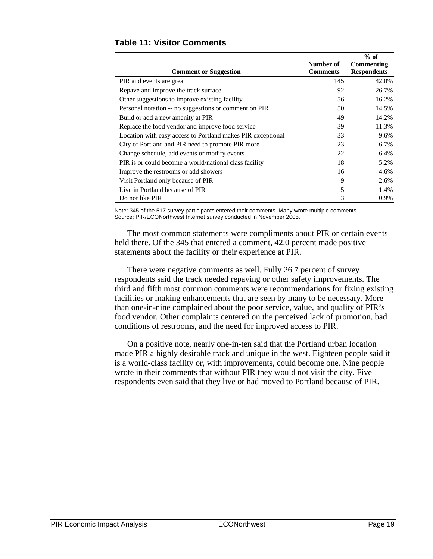|                                                             |                 | $%$ of             |
|-------------------------------------------------------------|-----------------|--------------------|
|                                                             | Number of       | Commenting         |
| <b>Comment or Suggestion</b>                                | <b>Comments</b> | <b>Respondents</b> |
| PIR and events are great                                    | 145             | 42.0%              |
| Repave and improve the track surface                        | 92              | 26.7%              |
| Other suggestions to improve existing facility              | 56              | 16.2%              |
| Personal notation -- no suggestions or comment on PIR       | 50              | 14.5%              |
| Build or add a new amenity at PIR                           | 49              | 14.2%              |
| Replace the food vendor and improve food service            | 39              | 11.3%              |
| Location with easy access to Portland makes PIR exceptional | 33              | 9.6%               |
| City of Portland and PIR need to promote PIR more           | 23              | 6.7%               |
| Change schedule, add events or modify events                | 22              | 6.4%               |
| PIR is or could become a world/national class facility      | 18              | 5.2%               |
| Improve the restrooms or add showers                        | 16              | 4.6%               |
| Visit Portland only because of PIR                          | 9               | 2.6%               |
| Live in Portland because of PIR                             | 5               | 1.4%               |
| Do not like PIR                                             | 3               | 0.9%               |

Note: 345 of the 517 survey participants entered their comments. Many wrote multiple comments. Source: PIR/ECONorthwest Internet survey conducted in November 2005.

The most common statements were compliments about PIR or certain events held there. Of the 345 that entered a comment, 42.0 percent made positive statements about the facility or their experience at PIR.

There were negative comments as well. Fully 26.7 percent of survey respondents said the track needed repaving or other safety improvements. The third and fifth most common comments were recommendations for fixing existing facilities or making enhancements that are seen by many to be necessary. More than one-in-nine complained about the poor service, value, and quality of PIR's food vendor. Other complaints centered on the perceived lack of promotion, bad conditions of restrooms, and the need for improved access to PIR.

On a positive note, nearly one-in-ten said that the Portland urban location made PIR a highly desirable track and unique in the west. Eighteen people said it is a world-class facility or, with improvements, could become one. Nine people wrote in their comments that without PIR they would not visit the city. Five respondents even said that they live or had moved to Portland because of PIR.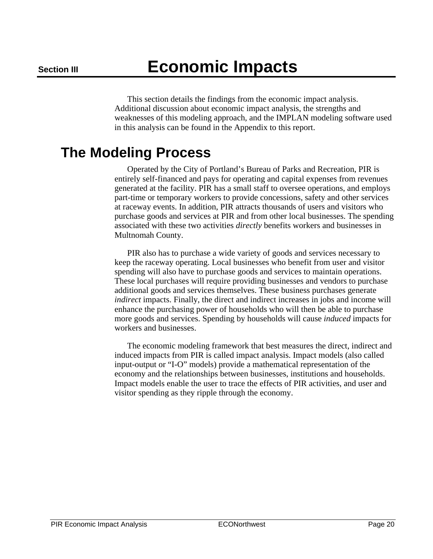This section details the findings from the economic impact analysis. Additional discussion about economic impact analysis, the strengths and weaknesses of this modeling approach, and the IMPLAN modeling software used in this analysis can be found in the Appendix to this report.

## **The Modeling Process**

Operated by the City of Portland's Bureau of Parks and Recreation, PIR is entirely self-financed and pays for operating and capital expenses from revenues generated at the facility. PIR has a small staff to oversee operations, and employs part-time or temporary workers to provide concessions, safety and other services at raceway events. In addition, PIR attracts thousands of users and visitors who purchase goods and services at PIR and from other local businesses. The spending associated with these two activities *directly* benefits workers and businesses in Multnomah County.

PIR also has to purchase a wide variety of goods and services necessary to keep the raceway operating. Local businesses who benefit from user and visitor spending will also have to purchase goods and services to maintain operations. These local purchases will require providing businesses and vendors to purchase additional goods and services themselves. These business purchases generate *indirect* impacts. Finally, the direct and indirect increases in jobs and income will enhance the purchasing power of households who will then be able to purchase more goods and services. Spending by households will cause *induced* impacts for workers and businesses.

The economic modeling framework that best measures the direct, indirect and induced impacts from PIR is called impact analysis. Impact models (also called input-output or "I-O" models) provide a mathematical representation of the economy and the relationships between businesses, institutions and households. Impact models enable the user to trace the effects of PIR activities, and user and visitor spending as they ripple through the economy.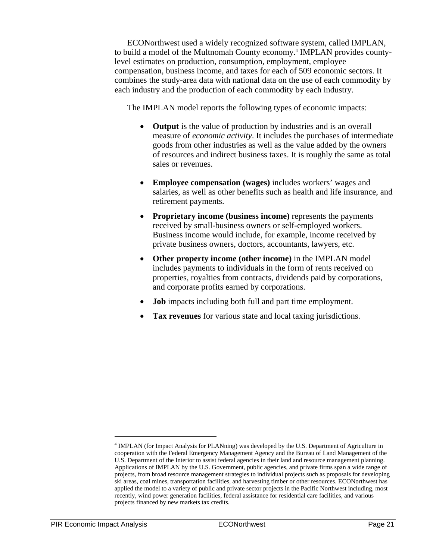ECONorthwest used a widely recognized software system, called IMPLAN, to build a model of the Multnomah County economy.<sup>4</sup> IMPLAN provides countylevel estimates on production, consumption, employment, employee compensation, business income, and taxes for each of 509 economic sectors. It combines the study-area data with national data on the use of each commodity by each industry and the production of each commodity by each industry.

The IMPLAN model reports the following types of economic impacts:

- **Output** is the value of production by industries and is an overall measure of *economic activity*. It includes the purchases of intermediate goods from other industries as well as the value added by the owners of resources and indirect business taxes. It is roughly the same as total sales or revenues.
- **Employee compensation (wages)** includes workers' wages and salaries, as well as other benefits such as health and life insurance, and retirement payments.
- **Proprietary income (business income)** represents the payments received by small-business owners or self-employed workers. Business income would include, for example, income received by private business owners, doctors, accountants, lawyers, etc.
- **Other property income (other income)** in the IMPLAN model includes payments to individuals in the form of rents received on properties, royalties from contracts, dividends paid by corporations, and corporate profits earned by corporations.
- **Job** impacts including both full and part time employment.
- **Tax revenues** for various state and local taxing jurisdictions.

1

<sup>&</sup>lt;sup>4</sup> IMPLAN (for Impact Analysis for PLANning) was developed by the U.S. Department of Agriculture in cooperation with the Federal Emergency Management Agency and the Bureau of Land Management of the U.S. Department of the Interior to assist federal agencies in their land and resource management planning. Applications of IMPLAN by the U.S. Government, public agencies, and private firms span a wide range of projects, from broad resource management strategies to individual projects such as proposals for developing ski areas, coal mines, transportation facilities, and harvesting timber or other resources. ECONorthwest has applied the model to a variety of public and private sector projects in the Pacific Northwest including, most recently, wind power generation facilities, federal assistance for residential care facilities, and various projects financed by new markets tax credits.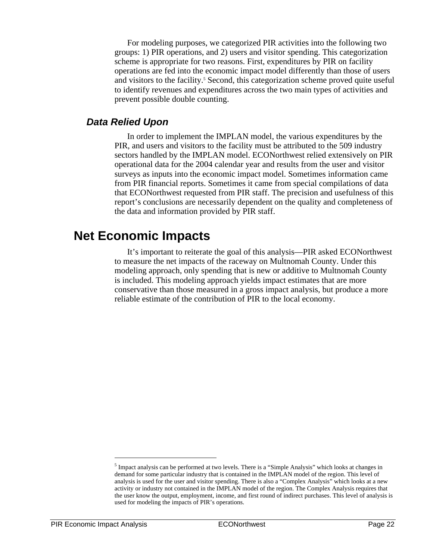For modeling purposes, we categorized PIR activities into the following two groups: 1) PIR operations, and 2) users and visitor spending. This categorization scheme is appropriate for two reasons. First, expenditures by PIR on facility operations are fed into the economic impact model differently than those of users and visitors to the facility.<sup>5</sup> Second, this categorization scheme proved quite useful to identify revenues and expenditures across the two main types of activities and prevent possible double counting.

### *Data Relied Upon*

In order to implement the IMPLAN model, the various expenditures by the PIR, and users and visitors to the facility must be attributed to the 509 industry sectors handled by the IMPLAN model. ECONorthwest relied extensively on PIR operational data for the 2004 calendar year and results from the user and visitor surveys as inputs into the economic impact model. Sometimes information came from PIR financial reports. Sometimes it came from special compilations of data that ECONorthwest requested from PIR staff. The precision and usefulness of this report's conclusions are necessarily dependent on the quality and completeness of the data and information provided by PIR staff.

## **Net Economic Impacts**

It's important to reiterate the goal of this analysis—PIR asked ECONorthwest to measure the net impacts of the raceway on Multnomah County. Under this modeling approach, only spending that is new or additive to Multnomah County is included. This modeling approach yields impact estimates that are more conservative than those measured in a gross impact analysis, but produce a more reliable estimate of the contribution of PIR to the local economy.

1

<sup>&</sup>lt;sup>5</sup> Impact analysis can be performed at two levels. There is a "Simple Analysis" which looks at changes in demand for some particular industry that is contained in the IMPLAN model of the region. This level of analysis is used for the user and visitor spending. There is also a "Complex Analysis" which looks at a new activity or industry not contained in the IMPLAN model of the region. The Complex Analysis requires that the user know the output, employment, income, and first round of indirect purchases. This level of analysis is used for modeling the impacts of PIR's operations.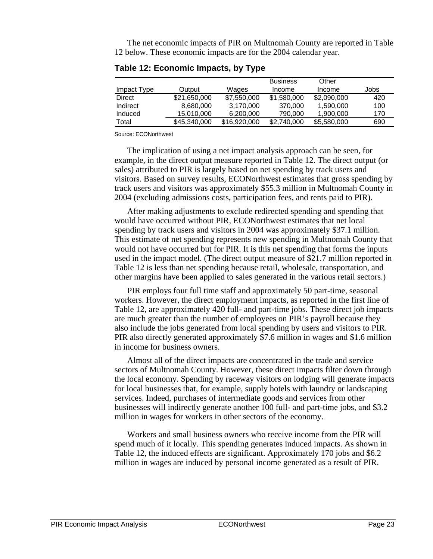The net economic impacts of PIR on Multnomah County are reported in Table 12 below. These economic impacts are for the 2004 calendar year.

|               |              |              | <b>Business</b> | Other       |      |
|---------------|--------------|--------------|-----------------|-------------|------|
| Impact Type   | Output       | Wages        | Income          | Income      | Jobs |
| <b>Direct</b> | \$21,650,000 | \$7,550,000  | \$1,580,000     | \$2,090,000 | 420  |
| Indirect      | 8,680,000    | 3,170,000    | 370,000         | 1,590,000   | 100  |
| Induced       | 15,010,000   | 6,200,000    | 790,000         | 1,900,000   | 170  |
| Total         | \$45,340,000 | \$16,920,000 | \$2,740,000     | \$5,580,000 | 690  |

**Table 12: Economic Impacts, by Type** 

Source: ECONorthwest

The implication of using a net impact analysis approach can be seen, for example, in the direct output measure reported in Table 12. The direct output (or sales) attributed to PIR is largely based on net spending by track users and visitors. Based on survey results, ECONorthwest estimates that gross spending by track users and visitors was approximately \$55.3 million in Multnomah County in 2004 (excluding admissions costs, participation fees, and rents paid to PIR).

After making adjustments to exclude redirected spending and spending that would have occurred without PIR, ECONorthwest estimates that net local spending by track users and visitors in 2004 was approximately \$37.1 million. This estimate of net spending represents new spending in Multnomah County that would not have occurred but for PIR. It is this net spending that forms the inputs used in the impact model. (The direct output measure of \$21.7 million reported in Table 12 is less than net spending because retail, wholesale, transportation, and other margins have been applied to sales generated in the various retail sectors.)

PIR employs four full time staff and approximately 50 part-time, seasonal workers. However, the direct employment impacts, as reported in the first line of Table 12, are approximately 420 full- and part-time jobs. These direct job impacts are much greater than the number of employees on PIR's payroll because they also include the jobs generated from local spending by users and visitors to PIR. PIR also directly generated approximately \$7.6 million in wages and \$1.6 million in income for business owners.

Almost all of the direct impacts are concentrated in the trade and service sectors of Multnomah County. However, these direct impacts filter down through the local economy. Spending by raceway visitors on lodging will generate impacts for local businesses that, for example, supply hotels with laundry or landscaping services. Indeed, purchases of intermediate goods and services from other businesses will indirectly generate another 100 full- and part-time jobs, and \$3.2 million in wages for workers in other sectors of the economy.

Workers and small business owners who receive income from the PIR will spend much of it locally. This spending generates induced impacts. As shown in Table 12, the induced effects are significant. Approximately 170 jobs and \$6.2 million in wages are induced by personal income generated as a result of PIR.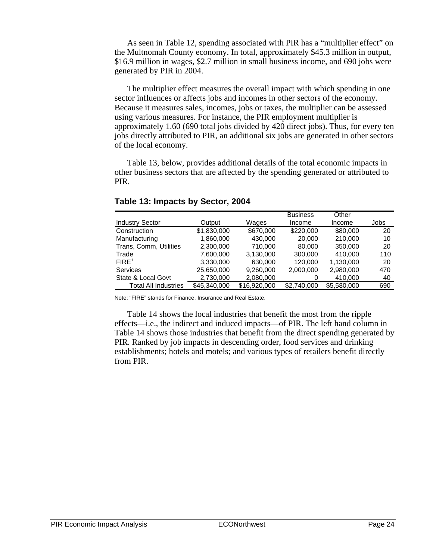As seen in Table 12, spending associated with PIR has a "multiplier effect" on the Multnomah County economy. In total, approximately \$45.3 million in output, \$16.9 million in wages, \$2.7 million in small business income, and 690 jobs were generated by PIR in 2004.

The multiplier effect measures the overall impact with which spending in one sector influences or affects jobs and incomes in other sectors of the economy. Because it measures sales, incomes, jobs or taxes, the multiplier can be assessed using various measures. For instance, the PIR employment multiplier is approximately 1.60 (690 total jobs divided by 420 direct jobs). Thus, for every ten jobs directly attributed to PIR, an additional six jobs are generated in other sectors of the local economy.

Table 13, below, provides additional details of the total economic impacts in other business sectors that are affected by the spending generated or attributed to PIR.

|                             |              |              | <b>Business</b> | Other       |      |
|-----------------------------|--------------|--------------|-----------------|-------------|------|
| <b>Industry Sector</b>      | Output       | Wages        | Income          | Income      | Jobs |
| Construction                | \$1,830,000  | \$670,000    | \$220,000       | \$80,000    | 20   |
| Manufacturing               | 1,860,000    | 430,000      | 20,000          | 210.000     | 10   |
| Trans, Comm, Utilities      | 2,300,000    | 710,000      | 80,000          | 350,000     | 20   |
| Trade                       | 7,600,000    | 3.130.000    | 300.000         | 410.000     | 110  |
| FIRE <sup>1</sup>           | 3,330,000    | 630.000      | 120,000         | 1,130,000   | 20   |
| <b>Services</b>             | 25,650,000   | 9,260,000    | 2,000,000       | 2,980,000   | 470  |
| State & Local Govt          | 2,730,000    | 2,080,000    |                 | 410.000     | 40   |
| <b>Total All Industries</b> | \$45,340,000 | \$16,920,000 | \$2,740,000     | \$5.580,000 | 690  |

#### **Table 13: Impacts by Sector, 2004**

Note: "FIRE" stands for Finance, Insurance and Real Estate.

Table 14 shows the local industries that benefit the most from the ripple effects—i.e., the indirect and induced impacts—of PIR. The left hand column in Table 14 shows those industries that benefit from the direct spending generated by PIR. Ranked by job impacts in descending order, food services and drinking establishments; hotels and motels; and various types of retailers benefit directly from PIR.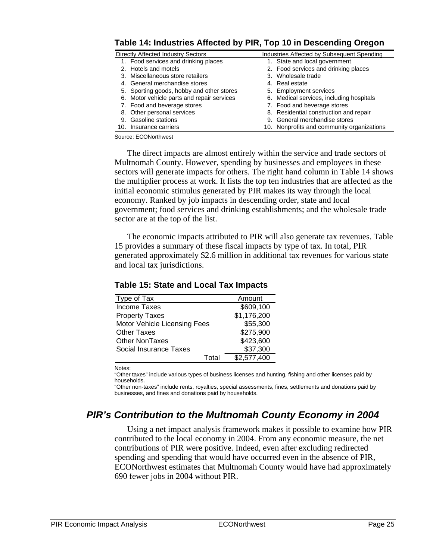| $1800$ is the manufacture control of $\alpha$ in the $\alpha$ in Decomming Orogon |                                            |
|-----------------------------------------------------------------------------------|--------------------------------------------|
| Directly Affected Industry Sectors                                                | Industries Affected by Subsequent Spending |
| 1. Food services and drinking places                                              | 1. State and local government              |
| 2. Hotels and motels                                                              | 2. Food services and drinking places       |
| 3. Miscellaneous store retailers                                                  | 3. Wholesale trade                         |
| 4. General merchandise stores                                                     | 4. Real estate                             |
| 5. Sporting goods, hobby and other stores                                         | 5. Employment services                     |
| 6. Motor vehicle parts and repair services                                        | 6. Medical services, including hospitals   |
| 7. Food and beverage stores                                                       | 7. Food and beverage stores                |
| 8. Other personal services                                                        | 8. Residential construction and repair     |
| 9. Gasoline stations                                                              | 9. General merchandise stores              |
| 10. Insurance carriers                                                            | 10. Nonprofits and community organizations |

#### **Table 14: Industries Affected by PIR, Top 10 in Descending Oregon**

Source: ECONorthwest

The direct impacts are almost entirely within the service and trade sectors of Multnomah County. However, spending by businesses and employees in these sectors will generate impacts for others. The right hand column in Table 14 shows the multiplier process at work. It lists the top ten industries that are affected as the initial economic stimulus generated by PIR makes its way through the local economy. Ranked by job impacts in descending order, state and local government; food services and drinking establishments; and the wholesale trade sector are at the top of the list.

The economic impacts attributed to PIR will also generate tax revenues. Table 15 provides a summary of these fiscal impacts by type of tax. In total, PIR generated approximately \$2.6 million in additional tax revenues for various state and local tax jurisdictions.

| Type of Tax                  |       | Amount      |
|------------------------------|-------|-------------|
| <b>Income Taxes</b>          |       | \$609,100   |
| <b>Property Taxes</b>        |       | \$1,176,200 |
| Motor Vehicle Licensing Fees |       | \$55,300    |
| <b>Other Taxes</b>           |       | \$275,900   |
| <b>Other NonTaxes</b>        |       | \$423,600   |
| Social Insurance Taxes       |       | \$37,300    |
|                              | Total | \$2,577,400 |

#### **Table 15: State and Local Tax Impacts**

Notes:

"Other taxes" include various types of business licenses and hunting, fishing and other licenses paid by households.

"Other non-taxes" include rents, royalties, special assessments, fines, settlements and donations paid by businesses, and fines and donations paid by households.

## *PIR's Contribution to the Multnomah County Economy in 2004*

Using a net impact analysis framework makes it possible to examine how PIR contributed to the local economy in 2004. From any economic measure, the net contributions of PIR were positive. Indeed, even after excluding redirected spending and spending that would have occurred even in the absence of PIR, ECONorthwest estimates that Multnomah County would have had approximately 690 fewer jobs in 2004 without PIR.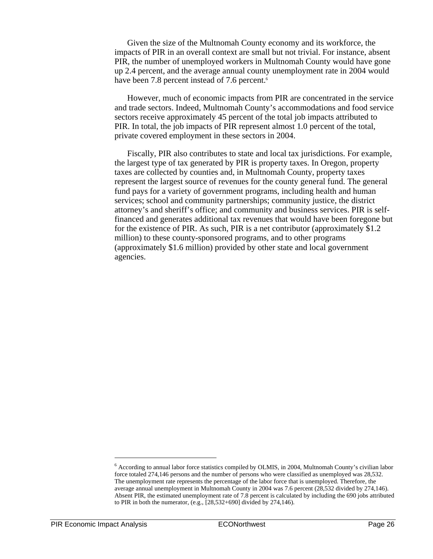Given the size of the Multnomah County economy and its workforce, the impacts of PIR in an overall context are small but not trivial. For instance, absent PIR, the number of unemployed workers in Multnomah County would have gone up 2.4 percent, and the average annual county unemployment rate in 2004 would have been 7.8 percent instead of 7.6 percent.<sup>6</sup>

However, much of economic impacts from PIR are concentrated in the service and trade sectors. Indeed, Multnomah County's accommodations and food service sectors receive approximately 45 percent of the total job impacts attributed to PIR. In total, the job impacts of PIR represent almost 1.0 percent of the total, private covered employment in these sectors in 2004.

Fiscally, PIR also contributes to state and local tax jurisdictions. For example, the largest type of tax generated by PIR is property taxes. In Oregon, property taxes are collected by counties and, in Multnomah County, property taxes represent the largest source of revenues for the county general fund. The general fund pays for a variety of government programs, including health and human services; school and community partnerships; community justice, the district attorney's and sheriff's office; and community and business services. PIR is selffinanced and generates additional tax revenues that would have been foregone but for the existence of PIR. As such, PIR is a net contributor (approximately \$1.2 million) to these county-sponsored programs, and to other programs (approximately \$1.6 million) provided by other state and local government agencies.

 $\overline{\phantom{a}}$ 

<sup>6</sup> According to annual labor force statistics compiled by OLMIS, in 2004, Multnomah County's civilian labor force totaled 274,146 persons and the number of persons who were classified as unemployed was 28,532. The unemployment rate represents the percentage of the labor force that is unemployed. Therefore, the average annual unemployment in Multnomah County in 2004 was 7.6 percent (28,532 divided by 274,146). Absent PIR, the estimated unemployment rate of 7.8 percent is calculated by including the 690 jobs attributed to PIR in both the numerator, (e.g., [28,532+690] divided by 274,146).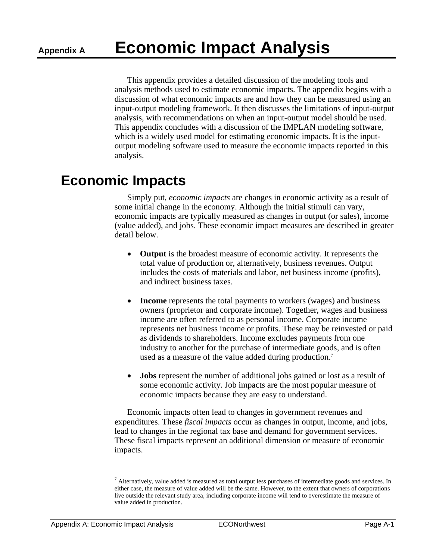This appendix provides a detailed discussion of the modeling tools and analysis methods used to estimate economic impacts. The appendix begins with a discussion of what economic impacts are and how they can be measured using an input-output modeling framework. It then discusses the limitations of input-output analysis, with recommendations on when an input-output model should be used. This appendix concludes with a discussion of the IMPLAN modeling software, which is a widely used model for estimating economic impacts. It is the inputoutput modeling software used to measure the economic impacts reported in this analysis.

## **Economic Impacts**

Simply put, *economic impacts* are changes in economic activity as a result of some initial change in the economy. Although the initial stimuli can vary, economic impacts are typically measured as changes in output (or sales), income (value added), and jobs. These economic impact measures are described in greater detail below.

- **Output** is the broadest measure of economic activity. It represents the total value of production or, alternatively, business revenues. Output includes the costs of materials and labor, net business income (profits), and indirect business taxes.
- **Income** represents the total payments to workers (wages) and business owners (proprietor and corporate income). Together, wages and business income are often referred to as personal income. Corporate income represents net business income or profits. These may be reinvested or paid as dividends to shareholders. Income excludes payments from one industry to another for the purchase of intermediate goods, and is often used as a measure of the value added during production.<sup>7</sup>
- **Jobs** represent the number of additional jobs gained or lost as a result of some economic activity. Job impacts are the most popular measure of economic impacts because they are easy to understand.

Economic impacts often lead to changes in government revenues and expenditures. These *fiscal impacts* occur as changes in output, income, and jobs, lead to changes in the regional tax base and demand for government services. These fiscal impacts represent an additional dimension or measure of economic impacts.

 $\overline{\phantom{a}}$ 

 $^7$  Alternatively, value added is measured as total output less purchases of intermediate goods and services. In either case, the measure of value added will be the same. However, to the extent that owners of corporations live outside the relevant study area, including corporate income will tend to overestimate the measure of value added in production.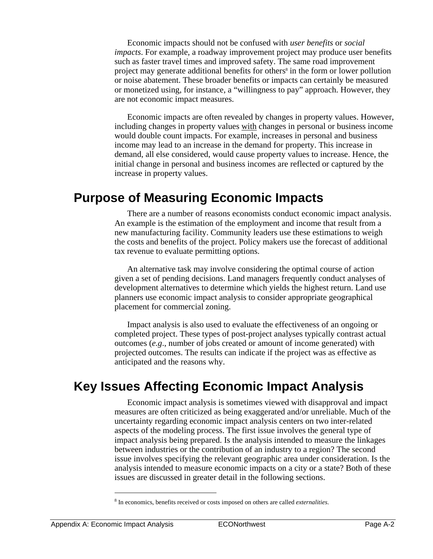Economic impacts should not be confused with *user benefits* or *social impacts*. For example, a roadway improvement project may produce user benefits such as faster travel times and improved safety. The same road improvement project may generate additional benefits for others<sup>8</sup> in the form or lower pollution or noise abatement. These broader benefits or impacts can certainly be measured or monetized using, for instance, a "willingness to pay" approach. However, they are not economic impact measures.

Economic impacts are often revealed by changes in property values. However, including changes in property values with changes in personal or business income would double count impacts. For example, increases in personal and business income may lead to an increase in the demand for property. This increase in demand, all else considered, would cause property values to increase. Hence, the initial change in personal and business incomes are reflected or captured by the increase in property values.

## **Purpose of Measuring Economic Impacts**

There are a number of reasons economists conduct economic impact analysis. An example is the estimation of the employment and income that result from a new manufacturing facility. Community leaders use these estimations to weigh the costs and benefits of the project. Policy makers use the forecast of additional tax revenue to evaluate permitting options.

An alternative task may involve considering the optimal course of action given a set of pending decisions. Land managers frequently conduct analyses of development alternatives to determine which yields the highest return. Land use planners use economic impact analysis to consider appropriate geographical placement for commercial zoning.

Impact analysis is also used to evaluate the effectiveness of an ongoing or completed project. These types of post-project analyses typically contrast actual outcomes (*e.g*., number of jobs created or amount of income generated) with projected outcomes. The results can indicate if the project was as effective as anticipated and the reasons why.

## **Key Issues Affecting Economic Impact Analysis**

Economic impact analysis is sometimes viewed with disapproval and impact measures are often criticized as being exaggerated and/or unreliable. Much of the uncertainty regarding economic impact analysis centers on two inter-related aspects of the modeling process. The first issue involves the general type of impact analysis being prepared. Is the analysis intended to measure the linkages between industries or the contribution of an industry to a region? The second issue involves specifying the relevant geographic area under consideration. Is the analysis intended to measure economic impacts on a city or a state? Both of these issues are discussed in greater detail in the following sections.

1

<sup>8</sup> In economics, benefits received or costs imposed on others are called *externalities*.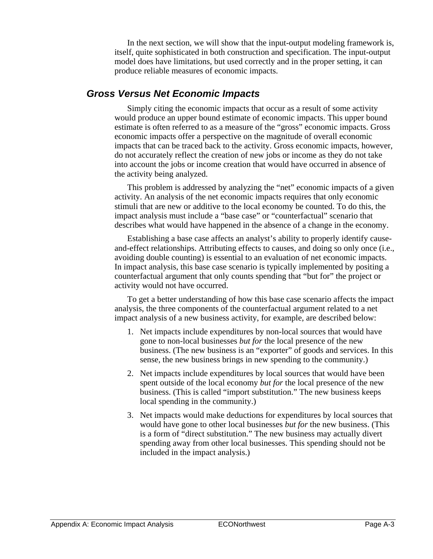In the next section, we will show that the input-output modeling framework is, itself, quite sophisticated in both construction and specification. The input-output model does have limitations, but used correctly and in the proper setting, it can produce reliable measures of economic impacts.

### *Gross Versus Net Economic Impacts*

Simply citing the economic impacts that occur as a result of some activity would produce an upper bound estimate of economic impacts. This upper bound estimate is often referred to as a measure of the "gross" economic impacts. Gross economic impacts offer a perspective on the magnitude of overall economic impacts that can be traced back to the activity. Gross economic impacts, however, do not accurately reflect the creation of new jobs or income as they do not take into account the jobs or income creation that would have occurred in absence of the activity being analyzed.

This problem is addressed by analyzing the "net" economic impacts of a given activity. An analysis of the net economic impacts requires that only economic stimuli that are new or additive to the local economy be counted. To do this, the impact analysis must include a "base case" or "counterfactual" scenario that describes what would have happened in the absence of a change in the economy.

Establishing a base case affects an analyst's ability to properly identify causeand-effect relationships. Attributing effects to causes, and doing so only once (i.e., avoiding double counting) is essential to an evaluation of net economic impacts. In impact analysis, this base case scenario is typically implemented by positing a counterfactual argument that only counts spending that "but for" the project or activity would not have occurred.

To get a better understanding of how this base case scenario affects the impact analysis, the three components of the counterfactual argument related to a net impact analysis of a new business activity, for example, are described below:

- 1. Net impacts include expenditures by non-local sources that would have gone to non-local businesses *but for* the local presence of the new business. (The new business is an "exporter" of goods and services. In this sense, the new business brings in new spending to the community.)
- 2. Net impacts include expenditures by local sources that would have been spent outside of the local economy *but for* the local presence of the new business. (This is called "import substitution." The new business keeps local spending in the community.)
- 3. Net impacts would make deductions for expenditures by local sources that would have gone to other local businesses *but for* the new business. (This is a form of "direct substitution." The new business may actually divert spending away from other local businesses. This spending should not be included in the impact analysis.)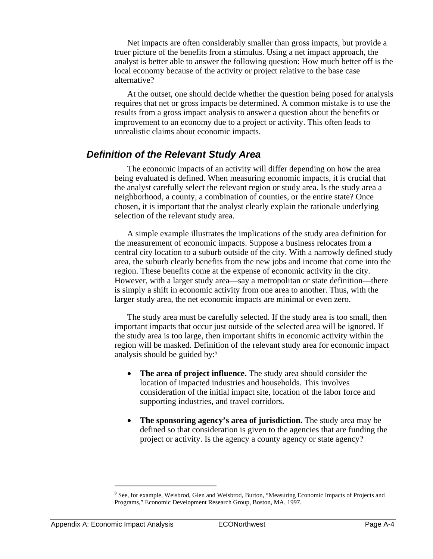Net impacts are often considerably smaller than gross impacts, but provide a truer picture of the benefits from a stimulus. Using a net impact approach, the analyst is better able to answer the following question: How much better off is the local economy because of the activity or project relative to the base case alternative?

At the outset, one should decide whether the question being posed for analysis requires that net or gross impacts be determined. A common mistake is to use the results from a gross impact analysis to answer a question about the benefits or improvement to an economy due to a project or activity. This often leads to unrealistic claims about economic impacts.

### *Definition of the Relevant Study Area*

The economic impacts of an activity will differ depending on how the area being evaluated is defined. When measuring economic impacts, it is crucial that the analyst carefully select the relevant region or study area. Is the study area a neighborhood, a county, a combination of counties, or the entire state? Once chosen, it is important that the analyst clearly explain the rationale underlying selection of the relevant study area.

A simple example illustrates the implications of the study area definition for the measurement of economic impacts. Suppose a business relocates from a central city location to a suburb outside of the city. With a narrowly defined study area, the suburb clearly benefits from the new jobs and income that come into the region. These benefits come at the expense of economic activity in the city. However, with a larger study area—say a metropolitan or state definition—there is simply a shift in economic activity from one area to another. Thus, with the larger study area, the net economic impacts are minimal or even zero.

The study area must be carefully selected. If the study area is too small, then important impacts that occur just outside of the selected area will be ignored. If the study area is too large, then important shifts in economic activity within the region will be masked. Definition of the relevant study area for economic impact analysis should be guided by:9

- **The area of project influence.** The study area should consider the location of impacted industries and households. This involves consideration of the initial impact site, location of the labor force and supporting industries, and travel corridors.
- **The sponsoring agency's area of jurisdiction.** The study area may be defined so that consideration is given to the agencies that are funding the project or activity. Is the agency a county agency or state agency?

 $\overline{\phantom{a}}$ 

<sup>&</sup>lt;sup>9</sup> See, for example, Weisbrod, Glen and Weisbrod, Burton, "Measuring Economic Impacts of Projects and Programs," Economic Development Research Group, Boston, MA, 1997.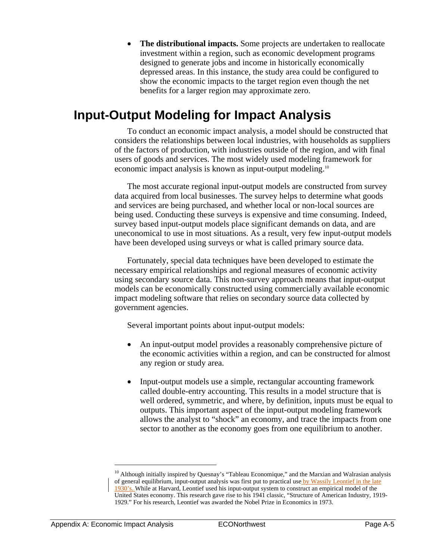• **The distributional impacts.** Some projects are undertaken to reallocate investment within a region, such as economic development programs designed to generate jobs and income in historically economically depressed areas. In this instance, the study area could be configured to show the economic impacts to the target region even though the net benefits for a larger region may approximate zero.

## **Input-Output Modeling for Impact Analysis**

To conduct an economic impact analysis, a model should be constructed that considers the relationships between local industries, with households as suppliers of the factors of production, with industries outside of the region, and with final users of goods and services. The most widely used modeling framework for economic impact analysis is known as input-output modeling.10

The most accurate regional input-output models are constructed from survey data acquired from local businesses. The survey helps to determine what goods and services are being purchased, and whether local or non-local sources are being used. Conducting these surveys is expensive and time consuming. Indeed, survey based input-output models place significant demands on data, and are uneconomical to use in most situations. As a result, very few input-output models have been developed using surveys or what is called primary source data.

Fortunately, special data techniques have been developed to estimate the necessary empirical relationships and regional measures of economic activity using secondary source data. This non-survey approach means that input-output models can be economically constructed using commercially available economic impact modeling software that relies on secondary source data collected by government agencies.

Several important points about input-output models:

- An input-output model provides a reasonably comprehensive picture of the economic activities within a region, and can be constructed for almost any region or study area.
- Input-output models use a simple, rectangular accounting framework called double-entry accounting. This results in a model structure that is well ordered, symmetric, and where, by definition, inputs must be equal to outputs. This important aspect of the input-output modeling framework allows the analyst to "shock" an economy, and trace the impacts from one sector to another as the economy goes from one equilibrium to another.

 $\overline{a}$ 

 $10$  Although initially inspired by Quesnay's "Tableau Economique," and the Marxian and Walrasian analysis of general equilibrium, input-output analysis was first put to practical use by Wassily Leontief in the late 1930's. While at Harvard, Leontief used his input-output system to construct an empirical model of the United States economy. This research gave rise to his 1941 classic, "Structure of American Industry, 1919- 1929." For his research, Leontief was awarded the Nobel Prize in Economics in 1973.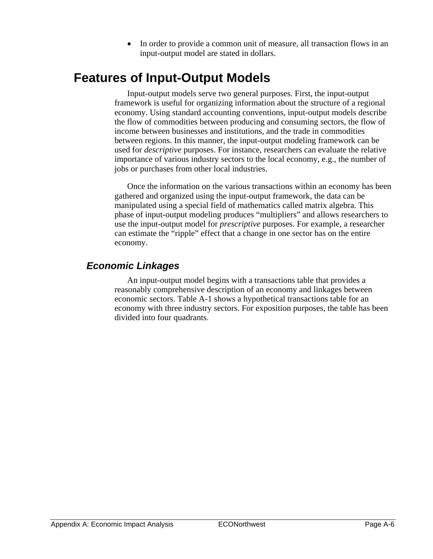• In order to provide a common unit of measure, all transaction flows in an input-output model are stated in dollars.

## **Features of Input-Output Models**

Input-output models serve two general purposes. First, the input-output framework is useful for organizing information about the structure of a regional economy. Using standard accounting conventions, input-output models describe the flow of commodities between producing and consuming sectors, the flow of income between businesses and institutions, and the trade in commodities between regions. In this manner, the input-output modeling framework can be used for *descriptive* purposes. For instance, researchers can evaluate the relative importance of various industry sectors to the local economy, e.g., the number of jobs or purchases from other local industries.

Once the information on the various transactions within an economy has been gathered and organized using the input-output framework, the data can be manipulated using a special field of mathematics called matrix algebra. This phase of input-output modeling produces "multipliers" and allows researchers to use the input-output model for *prescriptive* purposes. For example, a researcher can estimate the "ripple" effect that a change in one sector has on the entire economy.

## *Economic Linkages*

An input-output model begins with a transactions table that provides a reasonably comprehensive description of an economy and linkages between economic sectors. Table A-1 shows a hypothetical transactions table for an economy with three industry sectors. For exposition purposes, the table has been divided into four quadrants.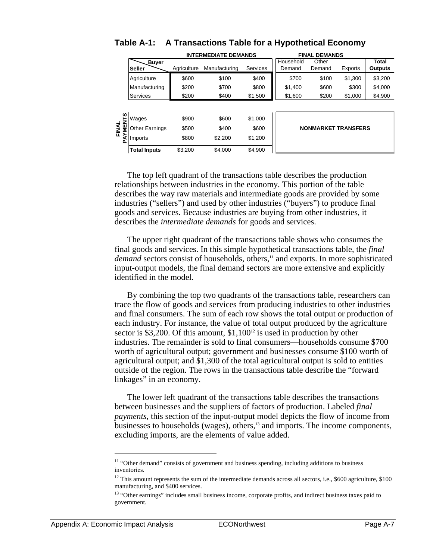|                 | <b>INTERMEDIATE DEMANDS</b> |             |               | <b>FINAL DEMANDS</b> |                            |                 |         |                                |
|-----------------|-----------------------------|-------------|---------------|----------------------|----------------------------|-----------------|---------|--------------------------------|
|                 | <b>Buver</b><br>Seller      | Agriculture | Manufacturing | Services             | Household<br>Demand        | Other<br>Demand | Exports | <b>Total</b><br><b>Outputs</b> |
|                 | Agriculture                 | \$600       | \$100         | \$400                | \$700                      | \$100           | \$1,300 | \$3,200                        |
|                 | Manufacturing               | \$200       | \$700         | \$800                | \$1,400                    | \$600           | \$300   | \$4,000                        |
|                 | <b>Services</b>             | \$200       | \$400         | \$1,500              | \$1,600                    | \$200           | \$1,000 | \$4,900                        |
| ഗ               | Wages                       | \$900       | \$600         | \$1,000              |                            |                 |         |                                |
| FINAL<br>YMENTS | <b>Other Earnings</b>       | \$500       | \$400         | \$600                | <b>NONMARKET TRANSFERS</b> |                 |         |                                |
| ∢<br>Δ          | <b>Imports</b>              | \$800       | \$2,200       | \$1,200              |                            |                 |         |                                |
|                 | <b>Total Inputs</b>         | \$3.200     | \$4,000       | \$4,900              |                            |                 |         |                                |

### **Table A-1: A Transactions Table for a Hypothetical Economy**

The top left quadrant of the transactions table describes the production relationships between industries in the economy. This portion of the table describes the way raw materials and intermediate goods are provided by some industries ("sellers") and used by other industries ("buyers") to produce final goods and services. Because industries are buying from other industries, it describes the *intermediate demands* for goods and services.

The upper right quadrant of the transactions table shows who consumes the final goods and services. In this simple hypothetical transactions table, the *final demand* sectors consist of households, others,<sup>11</sup> and exports. In more sophisticated input-output models, the final demand sectors are more extensive and explicitly identified in the model.

By combining the top two quadrants of the transactions table, researchers can trace the flow of goods and services from producing industries to other industries and final consumers. The sum of each row shows the total output or production of each industry. For instance, the value of total output produced by the agriculture sector is \$3,200. Of this amount,  $$1,100^{12}$  is used in production by other industries. The remainder is sold to final consumers—households consume \$700 worth of agricultural output; government and businesses consume \$100 worth of agricultural output; and \$1,300 of the total agricultural output is sold to entities outside of the region. The rows in the transactions table describe the "forward linkages" in an economy.

The lower left quadrant of the transactions table describes the transactions between businesses and the suppliers of factors of production. Labeled *final payments*, this section of the input-output model depicts the flow of income from businesses to households (wages), others,<sup>13</sup> and imports. The income components, excluding imports, are the elements of value added.

1

<sup>&</sup>lt;sup>11</sup> "Other demand" consists of government and business spending, including additions to business inventories.

<sup>&</sup>lt;sup>12</sup> This amount represents the sum of the intermediate demands across all sectors, i.e., \$600 agriculture, \$100 manufacturing, and \$400 services.

<sup>&</sup>lt;sup>13</sup> "Other earnings" includes small business income, corporate profits, and indirect business taxes paid to government.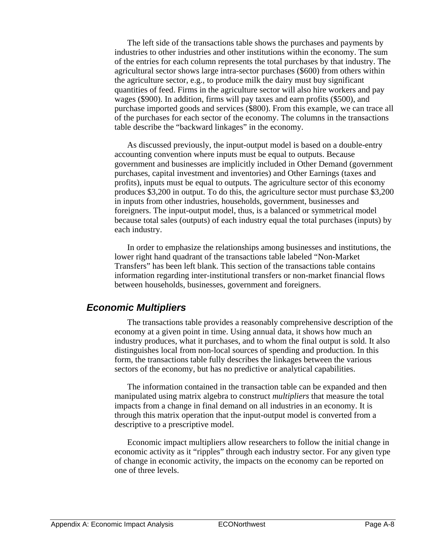The left side of the transactions table shows the purchases and payments by industries to other industries and other institutions within the economy. The sum of the entries for each column represents the total purchases by that industry. The agricultural sector shows large intra-sector purchases (\$600) from others within the agriculture sector, e.g., to produce milk the dairy must buy significant quantities of feed. Firms in the agriculture sector will also hire workers and pay wages (\$900). In addition, firms will pay taxes and earn profits (\$500), and purchase imported goods and services (\$800). From this example, we can trace all of the purchases for each sector of the economy. The columns in the transactions table describe the "backward linkages" in the economy.

As discussed previously, the input-output model is based on a double-entry accounting convention where inputs must be equal to outputs. Because government and businesses are implicitly included in Other Demand (government purchases, capital investment and inventories) and Other Earnings (taxes and profits), inputs must be equal to outputs. The agriculture sector of this economy produces \$3,200 in output. To do this, the agriculture sector must purchase \$3,200 in inputs from other industries, households, government, businesses and foreigners. The input-output model, thus, is a balanced or symmetrical model because total sales (outputs) of each industry equal the total purchases (inputs) by each industry.

In order to emphasize the relationships among businesses and institutions, the lower right hand quadrant of the transactions table labeled "Non-Market Transfers" has been left blank. This section of the transactions table contains information regarding inter-institutional transfers or non-market financial flows between households, businesses, government and foreigners.

### *Economic Multipliers*

The transactions table provides a reasonably comprehensive description of the economy at a given point in time. Using annual data, it shows how much an industry produces, what it purchases, and to whom the final output is sold. It also distinguishes local from non-local sources of spending and production. In this form, the transactions table fully describes the linkages between the various sectors of the economy, but has no predictive or analytical capabilities.

The information contained in the transaction table can be expanded and then manipulated using matrix algebra to construct *multipliers* that measure the total impacts from a change in final demand on all industries in an economy. It is through this matrix operation that the input-output model is converted from a descriptive to a prescriptive model.

Economic impact multipliers allow researchers to follow the initial change in economic activity as it "ripples" through each industry sector. For any given type of change in economic activity, the impacts on the economy can be reported on one of three levels.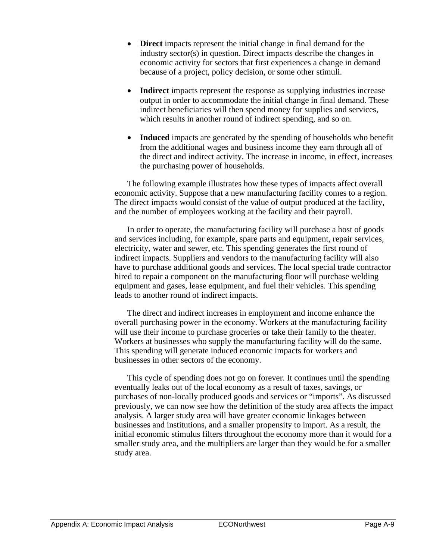- **Direct** impacts represent the initial change in final demand for the industry sector(s) in question. Direct impacts describe the changes in economic activity for sectors that first experiences a change in demand because of a project, policy decision, or some other stimuli.
- **Indirect** impacts represent the response as supplying industries increase output in order to accommodate the initial change in final demand. These indirect beneficiaries will then spend money for supplies and services, which results in another round of indirect spending, and so on.
- **Induced** impacts are generated by the spending of households who benefit from the additional wages and business income they earn through all of the direct and indirect activity. The increase in income, in effect, increases the purchasing power of households.

The following example illustrates how these types of impacts affect overall economic activity. Suppose that a new manufacturing facility comes to a region. The direct impacts would consist of the value of output produced at the facility, and the number of employees working at the facility and their payroll.

In order to operate, the manufacturing facility will purchase a host of goods and services including, for example, spare parts and equipment, repair services, electricity, water and sewer, etc. This spending generates the first round of indirect impacts. Suppliers and vendors to the manufacturing facility will also have to purchase additional goods and services. The local special trade contractor hired to repair a component on the manufacturing floor will purchase welding equipment and gases, lease equipment, and fuel their vehicles. This spending leads to another round of indirect impacts.

The direct and indirect increases in employment and income enhance the overall purchasing power in the economy. Workers at the manufacturing facility will use their income to purchase groceries or take their family to the theater. Workers at businesses who supply the manufacturing facility will do the same. This spending will generate induced economic impacts for workers and businesses in other sectors of the economy.

This cycle of spending does not go on forever. It continues until the spending eventually leaks out of the local economy as a result of taxes, savings, or purchases of non-locally produced goods and services or "imports". As discussed previously, we can now see how the definition of the study area affects the impact analysis. A larger study area will have greater economic linkages between businesses and institutions, and a smaller propensity to import. As a result, the initial economic stimulus filters throughout the economy more than it would for a smaller study area, and the multipliers are larger than they would be for a smaller study area.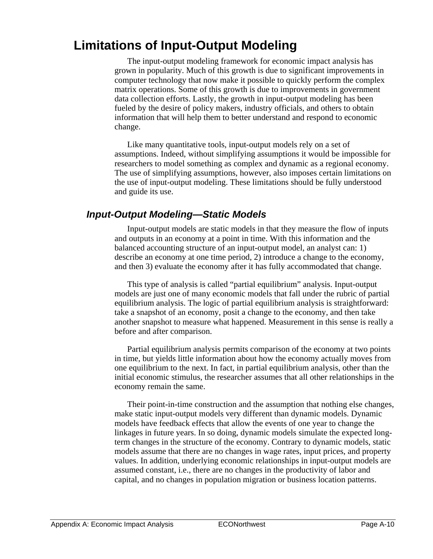## **Limitations of Input-Output Modeling**

The input-output modeling framework for economic impact analysis has grown in popularity. Much of this growth is due to significant improvements in computer technology that now make it possible to quickly perform the complex matrix operations. Some of this growth is due to improvements in government data collection efforts. Lastly, the growth in input-output modeling has been fueled by the desire of policy makers, industry officials, and others to obtain information that will help them to better understand and respond to economic change.

Like many quantitative tools, input-output models rely on a set of assumptions. Indeed, without simplifying assumptions it would be impossible for researchers to model something as complex and dynamic as a regional economy. The use of simplifying assumptions, however, also imposes certain limitations on the use of input-output modeling. These limitations should be fully understood and guide its use.

## *Input-Output Modeling—Static Models*

Input-output models are static models in that they measure the flow of inputs and outputs in an economy at a point in time. With this information and the balanced accounting structure of an input-output model, an analyst can: 1) describe an economy at one time period, 2) introduce a change to the economy, and then 3) evaluate the economy after it has fully accommodated that change.

This type of analysis is called "partial equilibrium" analysis. Input-output models are just one of many economic models that fall under the rubric of partial equilibrium analysis. The logic of partial equilibrium analysis is straightforward: take a snapshot of an economy, posit a change to the economy, and then take another snapshot to measure what happened. Measurement in this sense is really a before and after comparison.

Partial equilibrium analysis permits comparison of the economy at two points in time, but yields little information about how the economy actually moves from one equilibrium to the next. In fact, in partial equilibrium analysis, other than the initial economic stimulus, the researcher assumes that all other relationships in the economy remain the same.

Their point-in-time construction and the assumption that nothing else changes, make static input-output models very different than dynamic models. Dynamic models have feedback effects that allow the events of one year to change the linkages in future years. In so doing, dynamic models simulate the expected longterm changes in the structure of the economy. Contrary to dynamic models, static models assume that there are no changes in wage rates, input prices, and property values. In addition, underlying economic relationships in input-output models are assumed constant, i.e., there are no changes in the productivity of labor and capital, and no changes in population migration or business location patterns.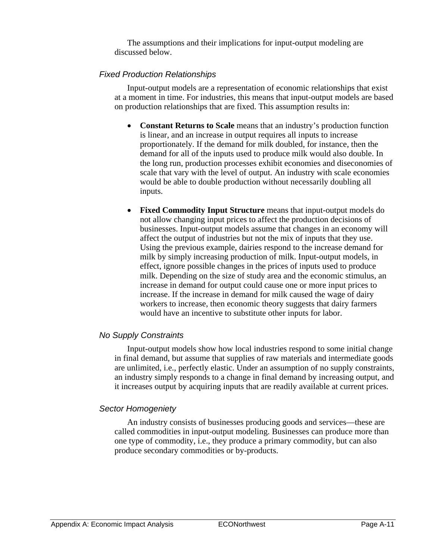The assumptions and their implications for input-output modeling are discussed below.

#### *Fixed Production Relationships*

Input-output models are a representation of economic relationships that exist at a moment in time. For industries, this means that input-output models are based on production relationships that are fixed. This assumption results in:

- **Constant Returns to Scale** means that an industry's production function is linear, and an increase in output requires all inputs to increase proportionately. If the demand for milk doubled, for instance, then the demand for all of the inputs used to produce milk would also double. In the long run, production processes exhibit economies and diseconomies of scale that vary with the level of output. An industry with scale economies would be able to double production without necessarily doubling all inputs.
- **Fixed Commodity Input Structure** means that input-output models do not allow changing input prices to affect the production decisions of businesses. Input-output models assume that changes in an economy will affect the output of industries but not the mix of inputs that they use. Using the previous example, dairies respond to the increase demand for milk by simply increasing production of milk. Input-output models, in effect, ignore possible changes in the prices of inputs used to produce milk. Depending on the size of study area and the economic stimulus, an increase in demand for output could cause one or more input prices to increase. If the increase in demand for milk caused the wage of dairy workers to increase, then economic theory suggests that dairy farmers would have an incentive to substitute other inputs for labor.

#### *No Supply Constraints*

Input-output models show how local industries respond to some initial change in final demand, but assume that supplies of raw materials and intermediate goods are unlimited, i.e., perfectly elastic. Under an assumption of no supply constraints, an industry simply responds to a change in final demand by increasing output, and it increases output by acquiring inputs that are readily available at current prices.

#### *Sector Homogeniety*

An industry consists of businesses producing goods and services—these are called commodities in input-output modeling. Businesses can produce more than one type of commodity, i.e., they produce a primary commodity, but can also produce secondary commodities or by-products.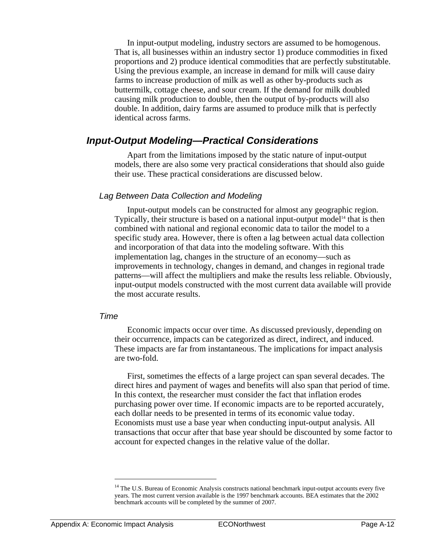In input-output modeling, industry sectors are assumed to be homogenous. That is, all businesses within an industry sector 1) produce commodities in fixed proportions and 2) produce identical commodities that are perfectly substitutable. Using the previous example, an increase in demand for milk will cause dairy farms to increase production of milk as well as other by-products such as buttermilk, cottage cheese, and sour cream. If the demand for milk doubled causing milk production to double, then the output of by-products will also double. In addition, dairy farms are assumed to produce milk that is perfectly identical across farms.

### *Input-Output Modeling—Practical Considerations*

Apart from the limitations imposed by the static nature of input-output models, there are also some very practical considerations that should also guide their use. These practical considerations are discussed below.

#### *Lag Between Data Collection and Modeling*

Input-output models can be constructed for almost any geographic region. Typically, their structure is based on a national input-output model<sup>14</sup> that is then combined with national and regional economic data to tailor the model to a specific study area. However, there is often a lag between actual data collection and incorporation of that data into the modeling software. With this implementation lag, changes in the structure of an economy—such as improvements in technology, changes in demand, and changes in regional trade patterns—will affect the multipliers and make the results less reliable. Obviously, input-output models constructed with the most current data available will provide the most accurate results.

#### *Time*

Economic impacts occur over time. As discussed previously, depending on their occurrence, impacts can be categorized as direct, indirect, and induced. These impacts are far from instantaneous. The implications for impact analysis are two-fold.

First, sometimes the effects of a large project can span several decades. The direct hires and payment of wages and benefits will also span that period of time. In this context, the researcher must consider the fact that inflation erodes purchasing power over time. If economic impacts are to be reported accurately, each dollar needs to be presented in terms of its economic value today. Economists must use a base year when conducting input-output analysis. All transactions that occur after that base year should be discounted by some factor to account for expected changes in the relative value of the dollar.

<u>.</u>

<sup>&</sup>lt;sup>14</sup> The U.S. Bureau of Economic Analysis constructs national benchmark input-output accounts every five years. The most current version available is the 1997 benchmark accounts. BEA estimates that the 2002 benchmark accounts will be completed by the summer of 2007.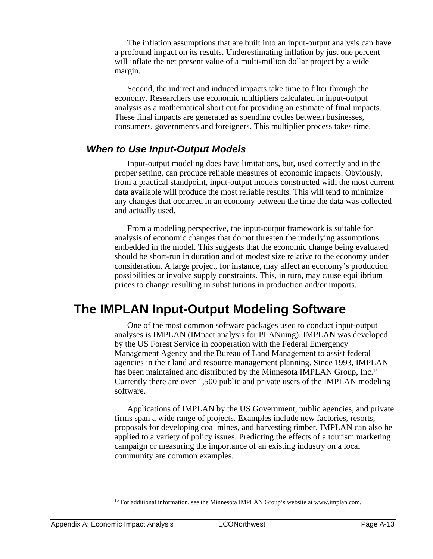The inflation assumptions that are built into an input-output analysis can have a profound impact on its results. Underestimating inflation by just one percent will inflate the net present value of a multi-million dollar project by a wide margin.

Second, the indirect and induced impacts take time to filter through the economy. Researchers use economic multipliers calculated in input-output analysis as a mathematical short cut for providing an estimate of final impacts. These final impacts are generated as spending cycles between businesses, consumers, governments and foreigners. This multiplier process takes time.

## *When to Use Input-Output Models*

Input-output modeling does have limitations, but, used correctly and in the proper setting, can produce reliable measures of economic impacts. Obviously, from a practical standpoint, input-output models constructed with the most current data available will produce the most reliable results. This will tend to minimize any changes that occurred in an economy between the time the data was collected and actually used.

From a modeling perspective, the input-output framework is suitable for analysis of economic changes that do not threaten the underlying assumptions embedded in the model. This suggests that the economic change being evaluated should be short-run in duration and of modest size relative to the economy under consideration. A large project, for instance, may affect an economy's production possibilities or involve supply constraints. This, in turn, may cause equilibrium prices to change resulting in substitutions in production and/or imports.

## **The IMPLAN Input-Output Modeling Software**

One of the most common software packages used to conduct input-output analyses is IMPLAN (IMpact analysis for PLANning). IMPLAN was developed by the US Forest Service in cooperation with the Federal Emergency Management Agency and the Bureau of Land Management to assist federal agencies in their land and resource management planning. Since 1993, IMPLAN has been maintained and distributed by the Minnesota IMPLAN Group, Inc.<sup>15</sup> Currently there are over 1,500 public and private users of the IMPLAN modeling software.

Applications of IMPLAN by the US Government, public agencies, and private firms span a wide range of projects. Examples include new factories, resorts, proposals for developing coal mines, and harvesting timber. IMPLAN can also be applied to a variety of policy issues. Predicting the effects of a tourism marketing campaign or measuring the importance of an existing industry on a local community are common examples.

1

<sup>&</sup>lt;sup>15</sup> For additional information, see the Minnesota IMPLAN Group's website at www.implan.com.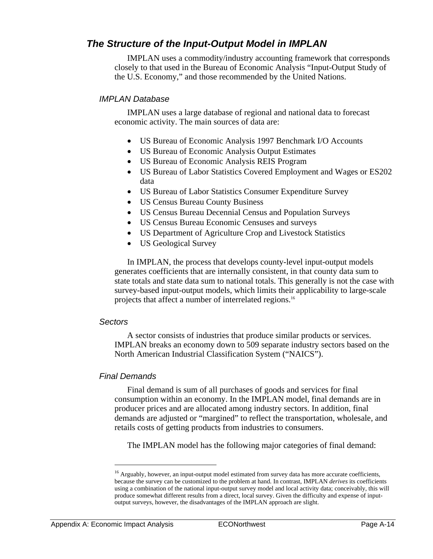## *The Structure of the Input-Output Model in IMPLAN*

IMPLAN uses a commodity/industry accounting framework that corresponds closely to that used in the Bureau of Economic Analysis "Input-Output Study of the U.S. Economy," and those recommended by the United Nations.

#### *IMPLAN Database*

IMPLAN uses a large database of regional and national data to forecast economic activity. The main sources of data are:

- US Bureau of Economic Analysis 1997 Benchmark I/O Accounts
- US Bureau of Economic Analysis Output Estimates
- US Bureau of Economic Analysis REIS Program
- US Bureau of Labor Statistics Covered Employment and Wages or ES202 data
- US Bureau of Labor Statistics Consumer Expenditure Survey
- US Census Bureau County Business
- US Census Bureau Decennial Census and Population Surveys
- US Census Bureau Economic Censuses and surveys
- US Department of Agriculture Crop and Livestock Statistics
- US Geological Survey

In IMPLAN, the process that develops county-level input-output models generates coefficients that are internally consistent, in that county data sum to state totals and state data sum to national totals. This generally is not the case with survey-based input-output models, which limits their applicability to large-scale projects that affect a number of interrelated regions.16

#### *Sectors*

A sector consists of industries that produce similar products or services. IMPLAN breaks an economy down to 509 separate industry sectors based on the North American Industrial Classification System ("NAICS").

#### *Final Demands*

Final demand is sum of all purchases of goods and services for final consumption within an economy. In the IMPLAN model, final demands are in producer prices and are allocated among industry sectors. In addition, final demands are adjusted or "margined" to reflect the transportation, wholesale, and retails costs of getting products from industries to consumers.

The IMPLAN model has the following major categories of final demand:

 $\overline{a}$ 

<sup>&</sup>lt;sup>16</sup> Arguably, however, an input-output model estimated from survey data has more accurate coefficients, because the survey can be customized to the problem at hand. In contrast, IMPLAN *derives* its coefficients using a combination of the national input-output survey model and local activity data; conceivably, this will produce somewhat different results from a direct, local survey. Given the difficulty and expense of inputoutput surveys, however, the disadvantages of the IMPLAN approach are slight.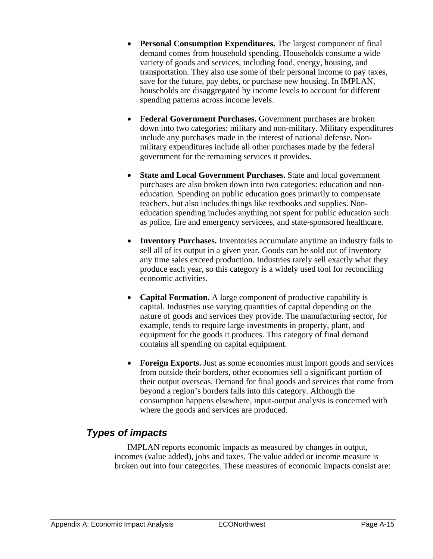- **Personal Consumption Expenditures.** The largest component of final demand comes from household spending. Households consume a wide variety of goods and services, including food, energy, housing, and transportation. They also use some of their personal income to pay taxes, save for the future, pay debts, or purchase new housing. In IMPLAN, households are disaggregated by income levels to account for different spending patterns across income levels.
- **Federal Government Purchases.** Government purchases are broken down into two categories: military and non-military. Military expenditures include any purchases made in the interest of national defense. Nonmilitary expenditures include all other purchases made by the federal government for the remaining services it provides.
- **State and Local Government Purchases.** State and local government purchases are also broken down into two categories: education and noneducation. Spending on public education goes primarily to compensate teachers, but also includes things like textbooks and supplies. Noneducation spending includes anything not spent for public education such as police, fire and emergency servicees, and state-sponsored healthcare.
- **Inventory Purchases.** Inventories accumulate anytime an industry fails to sell all of its output in a given year. Goods can be sold out of inventory any time sales exceed production. Industries rarely sell exactly what they produce each year, so this category is a widely used tool for reconciling economic activities.
- **Capital Formation.** A large component of productive capability is capital. Industries use varying quantities of capital depending on the nature of goods and services they provide. The manufacturing sector, for example, tends to require large investments in property, plant, and equipment for the goods it produces. This category of final demand contains all spending on capital equipment.
- **Foreign Exports.** Just as some economies must import goods and services from outside their borders, other economies sell a significant portion of their output overseas. Demand for final goods and services that come from beyond a region's borders falls into this category. Although the consumption happens elsewhere, input-output analysis is concerned with where the goods and services are produced.

## *Types of impacts*

IMPLAN reports economic impacts as measured by changes in output, incomes (value added), jobs and taxes. The value added or income measure is broken out into four categories. These measures of economic impacts consist are: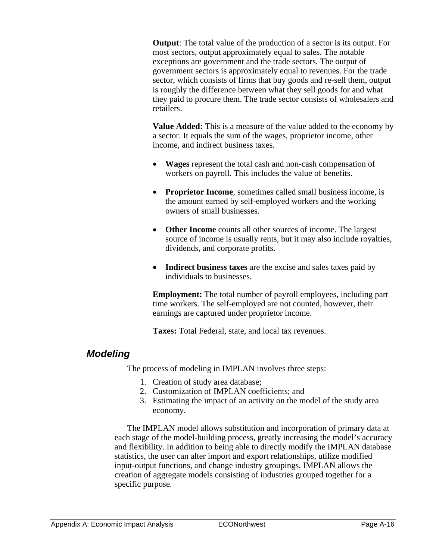**Output**: The total value of the production of a sector is its output. For most sectors, output approximately equal to sales. The notable exceptions are government and the trade sectors. The output of government sectors is approximately equal to revenues. For the trade sector, which consists of firms that buy goods and re-sell them, output is roughly the difference between what they sell goods for and what they paid to procure them. The trade sector consists of wholesalers and retailers.

**Value Added:** This is a measure of the value added to the economy by a sector. It equals the sum of the wages, proprietor income, other income, and indirect business taxes.

- **Wages** represent the total cash and non-cash compensation of workers on payroll. This includes the value of benefits.
- **Proprietor Income**, sometimes called small business income, is the amount earned by self-employed workers and the working owners of small businesses.
- **Other Income** counts all other sources of income. The largest source of income is usually rents, but it may also include royalties, dividends, and corporate profits.
- **Indirect business taxes** are the excise and sales taxes paid by individuals to businesses.

**Employment:** The total number of payroll employees, including part time workers. The self-employed are not counted, however, their earnings are captured under proprietor income.

**Taxes:** Total Federal, state, and local tax revenues.

## *Modeling*

The process of modeling in IMPLAN involves three steps:

- 1. Creation of study area database;
- 2. Customization of IMPLAN coefficients; and
- 3. Estimating the impact of an activity on the model of the study area economy.

The IMPLAN model allows substitution and incorporation of primary data at each stage of the model-building process, greatly increasing the model's accuracy and flexibility. In addition to being able to directly modify the IMPLAN database statistics, the user can alter import and export relationships, utilize modified input-output functions, and change industry groupings. IMPLAN allows the creation of aggregate models consisting of industries grouped together for a specific purpose.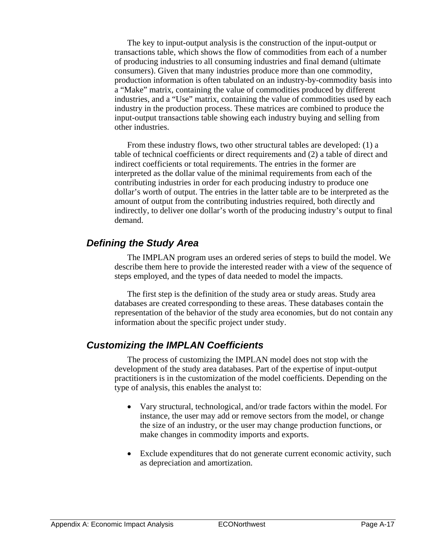The key to input-output analysis is the construction of the input-output or transactions table, which shows the flow of commodities from each of a number of producing industries to all consuming industries and final demand (ultimate consumers). Given that many industries produce more than one commodity, production information is often tabulated on an industry-by-commodity basis into a "Make" matrix, containing the value of commodities produced by different industries, and a "Use" matrix, containing the value of commodities used by each industry in the production process. These matrices are combined to produce the input-output transactions table showing each industry buying and selling from other industries.

From these industry flows, two other structural tables are developed: (1) a table of technical coefficients or direct requirements and (2) a table of direct and indirect coefficients or total requirements. The entries in the former are interpreted as the dollar value of the minimal requirements from each of the contributing industries in order for each producing industry to produce one dollar's worth of output. The entries in the latter table are to be interpreted as the amount of output from the contributing industries required, both directly and indirectly, to deliver one dollar's worth of the producing industry's output to final demand.

## *Defining the Study Area*

The IMPLAN program uses an ordered series of steps to build the model. We describe them here to provide the interested reader with a view of the sequence of steps employed, and the types of data needed to model the impacts.

The first step is the definition of the study area or study areas. Study area databases are created corresponding to these areas. These databases contain the representation of the behavior of the study area economies, but do not contain any information about the specific project under study.

## *Customizing the IMPLAN Coefficients*

The process of customizing the IMPLAN model does not stop with the development of the study area databases. Part of the expertise of input-output practitioners is in the customization of the model coefficients. Depending on the type of analysis, this enables the analyst to:

- Vary structural, technological, and/or trade factors within the model. For instance, the user may add or remove sectors from the model, or change the size of an industry, or the user may change production functions, or make changes in commodity imports and exports.
- Exclude expenditures that do not generate current economic activity, such as depreciation and amortization.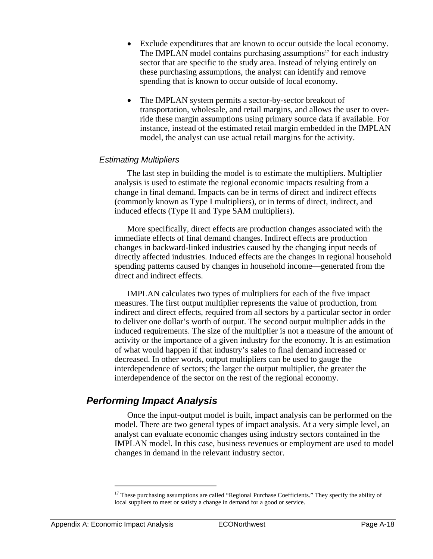- Exclude expenditures that are known to occur outside the local economy. The IMPLAN model contains purchasing assumptions<sup>17</sup> for each industry sector that are specific to the study area. Instead of relying entirely on these purchasing assumptions, the analyst can identify and remove spending that is known to occur outside of local economy.
- The IMPLAN system permits a sector-by-sector breakout of transportation, wholesale, and retail margins, and allows the user to override these margin assumptions using primary source data if available. For instance, instead of the estimated retail margin embedded in the IMPLAN model, the analyst can use actual retail margins for the activity.

#### *Estimating Multipliers*

The last step in building the model is to estimate the multipliers. Multiplier analysis is used to estimate the regional economic impacts resulting from a change in final demand. Impacts can be in terms of direct and indirect effects (commonly known as Type I multipliers), or in terms of direct, indirect, and induced effects (Type II and Type SAM multipliers).

More specifically, direct effects are production changes associated with the immediate effects of final demand changes. Indirect effects are production changes in backward-linked industries caused by the changing input needs of directly affected industries. Induced effects are the changes in regional household spending patterns caused by changes in household income—generated from the direct and indirect effects.

IMPLAN calculates two types of multipliers for each of the five impact measures. The first output multiplier represents the value of production, from indirect and direct effects, required from all sectors by a particular sector in order to deliver one dollar's worth of output. The second output multiplier adds in the induced requirements. The size of the multiplier is not a measure of the amount of activity or the importance of a given industry for the economy. It is an estimation of what would happen if that industry's sales to final demand increased or decreased. In other words, output multipliers can be used to gauge the interdependence of sectors; the larger the output multiplier, the greater the interdependence of the sector on the rest of the regional economy.

### *Performing Impact Analysis*

Once the input-output model is built, impact analysis can be performed on the model. There are two general types of impact analysis. At a very simple level, an analyst can evaluate economic changes using industry sectors contained in the IMPLAN model. In this case, business revenues or employment are used to model changes in demand in the relevant industry sector.

1

 $17$  These purchasing assumptions are called "Regional Purchase Coefficients." They specify the ability of local suppliers to meet or satisfy a change in demand for a good or service.